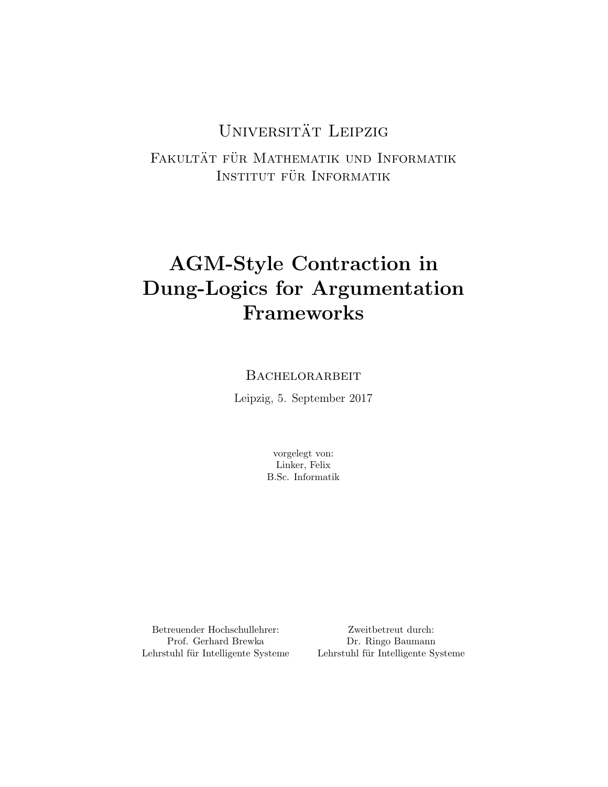# UNIVERSITÄT LEIPZIG

FAKULTÄT FÜR MATHEMATIK UND INFORMATIK INSTITUT FÜR INFORMATIK

# AGM-Style Contraction in Dung-Logics for Argumentation Frameworks

### **BACHELORARBEIT**

Leipzig, 5. September 2017

vorgelegt von: Linker, Felix B.Sc. Informatik

Betreuender Hochschullehrer: Prof. Gerhard Brewka Lehrstuhl für Intelligente Systeme

Zweitbetreut durch: Dr. Ringo Baumann Lehrstuhl für Intelligente Systeme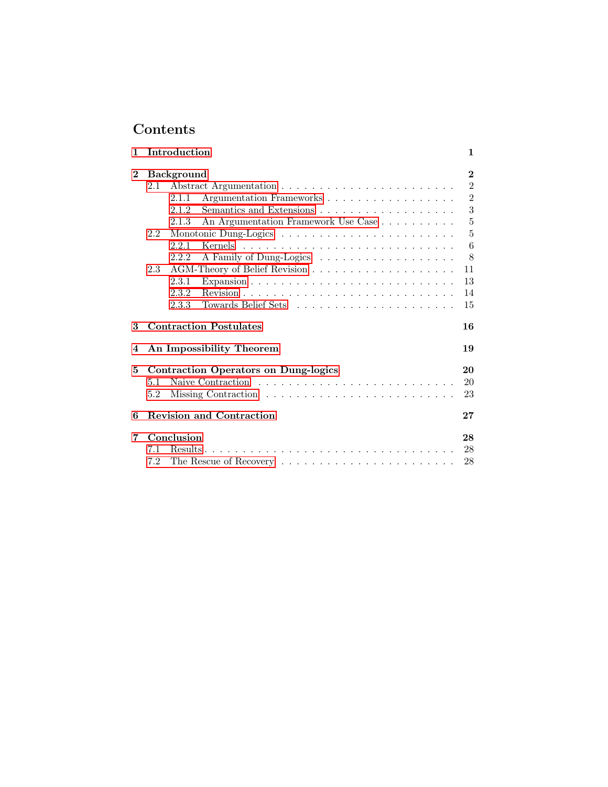# Contents

| 1        | Introduction                                 | 1              |  |
|----------|----------------------------------------------|----------------|--|
| $\bf{2}$ | $\bf{2}$<br><b>Background</b>                |                |  |
|          | 2.1                                          | $\overline{2}$ |  |
|          | Argumentation Frameworks<br>2.1.1            | $\overline{2}$ |  |
|          | 2.1.2                                        | 3              |  |
|          | An Argumentation Framework Use Case<br>2.1.3 | $\overline{5}$ |  |
|          | 2.2                                          | 5              |  |
|          | 2.2.1                                        | 6              |  |
|          | A Family of Dung-Logics<br>2.2.2             | 8              |  |
|          | 2.3                                          | 11             |  |
|          | 2.3.1                                        | 13             |  |
|          | 2.3.2                                        | 14             |  |
|          | 2.3.3                                        | 15             |  |
|          |                                              |                |  |
| 3        | <b>Contraction Postulates</b>                | 16             |  |
| 4        | An Impossibility Theorem                     | 19             |  |
| 5        | <b>Contraction Operators on Dung-logics</b>  | 20             |  |
|          | 5.1                                          | 20             |  |
|          | 5.2                                          | 23             |  |
|          |                                              |                |  |
| 6        | <b>Revision and Contraction</b>              | 27             |  |
| 7        | Conclusion                                   | 28             |  |
|          | 7.1                                          | 28             |  |
|          | 7.2                                          | 28             |  |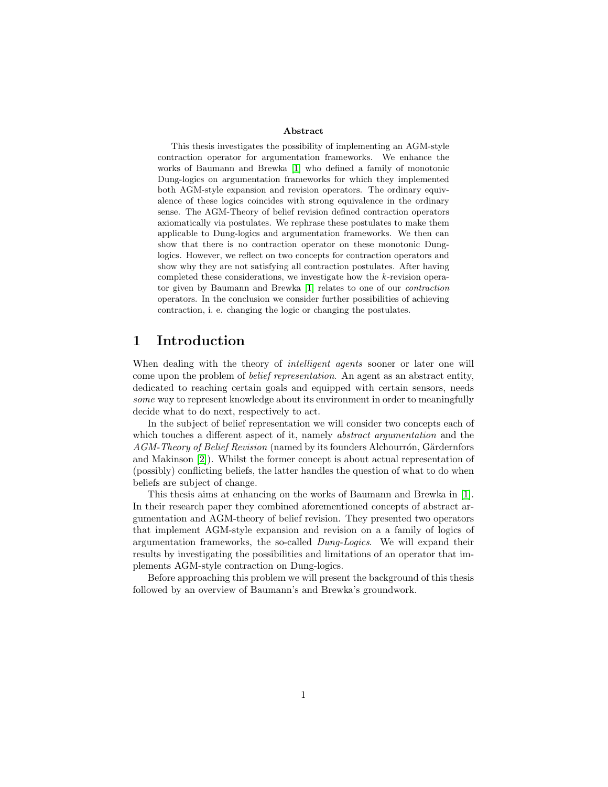#### Abstract

This thesis investigates the possibility of implementing an AGM-style contraction operator for argumentation frameworks. We enhance the works of Baumann and Brewka [\[1\]](#page-30-0) who defined a family of monotonic Dung-logics on argumentation frameworks for which they implemented both AGM-style expansion and revision operators. The ordinary equivalence of these logics coincides with strong equivalence in the ordinary sense. The AGM-Theory of belief revision defined contraction operators axiomatically via postulates. We rephrase these postulates to make them applicable to Dung-logics and argumentation frameworks. We then can show that there is no contraction operator on these monotonic Dunglogics. However, we reflect on two concepts for contraction operators and show why they are not satisfying all contraction postulates. After having completed these considerations, we investigate how the k-revision operator given by Baumann and Brewka [\[1\]](#page-30-0) relates to one of our contraction operators. In the conclusion we consider further possibilities of achieving contraction, i. e. changing the logic or changing the postulates.

### <span id="page-2-0"></span>1 Introduction

When dealing with the theory of *intelligent agents* sooner or later one will come upon the problem of belief representation. An agent as an abstract entity, dedicated to reaching certain goals and equipped with certain sensors, needs some way to represent knowledge about its environment in order to meaningfully decide what to do next, respectively to act.

In the subject of belief representation we will consider two concepts each of which touches a different aspect of it, namely *abstract argumentation* and the AGM-Theory of Belief Revision (named by its founders Alchourrón, Gärdernfors and Makinson [\[2\]](#page-31-0)). Whilst the former concept is about actual representation of (possibly) conflicting beliefs, the latter handles the question of what to do when beliefs are subject of change.

This thesis aims at enhancing on the works of Baumann and Brewka in [\[1\]](#page-30-0). In their research paper they combined aforementioned concepts of abstract argumentation and AGM-theory of belief revision. They presented two operators that implement AGM-style expansion and revision on a a family of logics of argumentation frameworks, the so-called Dung-Logics. We will expand their results by investigating the possibilities and limitations of an operator that implements AGM-style contraction on Dung-logics.

Before approaching this problem we will present the background of this thesis followed by an overview of Baumann's and Brewka's groundwork.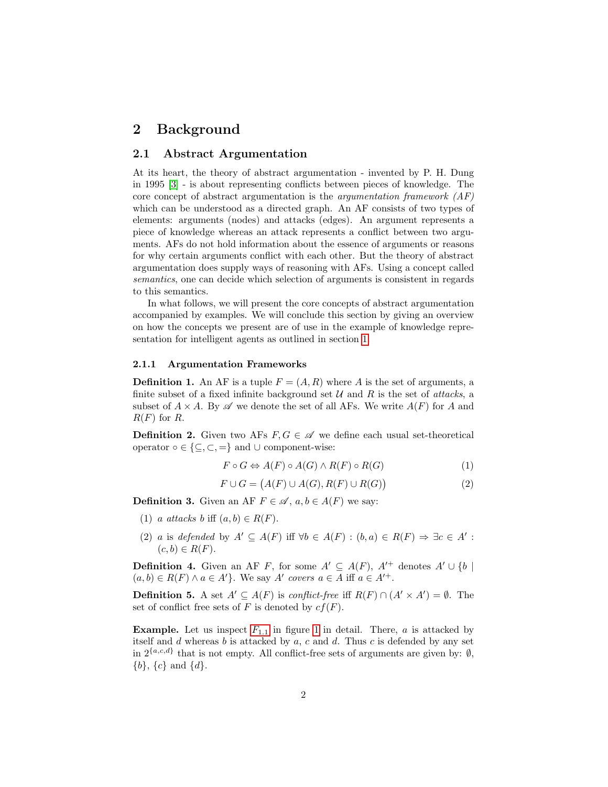### <span id="page-3-0"></span>2 Background

#### <span id="page-3-1"></span>2.1 Abstract Argumentation

At its heart, the theory of abstract argumentation - invented by P. H. Dung in 1995 [\[3\]](#page-31-1) - is about representing conflicts between pieces of knowledge. The core concept of abstract argumentation is the *argumentation framework*  $AF$ which can be understood as a directed graph. An AF consists of two types of elements: arguments (nodes) and attacks (edges). An argument represents a piece of knowledge whereas an attack represents a conflict between two arguments. AFs do not hold information about the essence of arguments or reasons for why certain arguments conflict with each other. But the theory of abstract argumentation does supply ways of reasoning with AFs. Using a concept called semantics, one can decide which selection of arguments is consistent in regards to this semantics.

In what follows, we will present the core concepts of abstract argumentation accompanied by examples. We will conclude this section by giving an overview on how the concepts we present are of use in the example of knowledge representation for intelligent agents as outlined in section [1.](#page-2-0)

#### <span id="page-3-2"></span>2.1.1 Argumentation Frameworks

<span id="page-3-3"></span>**Definition 1.** An AF is a tuple  $F = (A, R)$  where A is the set of arguments, a finite subset of a fixed infinite background set  $U$  and  $R$  is the set of *attacks*, a subset of  $A \times A$ . By  $\mathscr A$  we denote the set of all AFs. We write  $A(F)$  for A and  $R(F)$  for R.

<span id="page-3-4"></span>**Definition 2.** Given two AFs  $F, G \in \mathcal{A}$  we define each usual set-theoretical operator  $\circ \in \{\subseteq, \subset, =\}$  and  $\cup$  component-wise:

$$
F \circ G \Leftrightarrow A(F) \circ A(G) \wedge R(F) \circ R(G)
$$
\n<sup>(1)</sup>

$$
F \cup G = (A(F) \cup A(G), R(F) \cup R(G))
$$
\n<sup>(2)</sup>

**Definition 3.** Given an AF  $F \in \mathcal{A}$ ,  $a, b \in A(F)$  we say:

- (1) a attacks b iff  $(a, b) \in R(F)$ .
- (2) a is defended by  $A' \subseteq A(F)$  iff  $\forall b \in A(F) : (b, a) \in R(F) \Rightarrow \exists c \in A'$ :  $(c, b) \in R(F)$ .

**Definition 4.** Given an AF F, for some  $A' \subseteq A(F)$ ,  $A'^+$  denotes  $A' \cup \{b \mid$  $(a, b) \in R(F) \land a \in A'$ . We say A' covers  $a \in A$  iff  $a \in A'^+$ .

**Definition 5.** A set  $A' \subseteq A(F)$  is conflict-free iff  $R(F) \cap (A' \times A') = \emptyset$ . The set of conflict free sets of F is denoted by  $cf(F)$ .

**Example.** Let us inspect  $F_{1,1}$  $F_{1,1}$  in figure [1](#page-4-1) in detail. There, a is attacked by itself and  $d$  whereas  $b$  is attacked by  $a, c$  and  $d$ . Thus  $c$  is defended by any set in  $2^{\{a,c,d\}}$  that is not empty. All conflict-free sets of arguments are given by:  $\emptyset$ ,  $\{b\}, \{c\}$  and  $\{d\}.$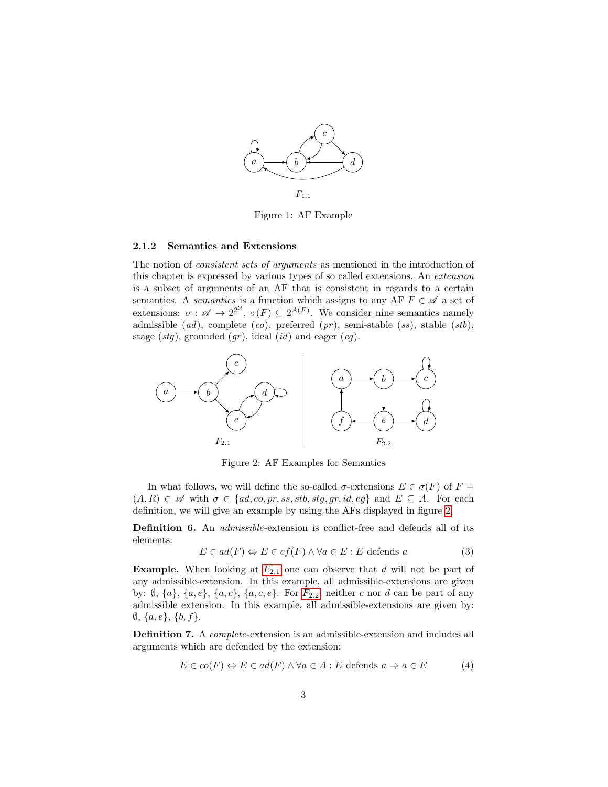<span id="page-4-1"></span>

Figure 1: AF Example

#### <span id="page-4-0"></span>2.1.2 Semantics and Extensions

The notion of consistent sets of arguments as mentioned in the introduction of this chapter is expressed by various types of so called extensions. An extension is a subset of arguments of an AF that is consistent in regards to a certain semantics. A *semantics* is a function which assigns to any AF  $F \in \mathcal{A}$  a set of extensions:  $\sigma : \mathscr{A} \to 2^{2^{\mathcal{U}}}, \sigma(F) \subseteq 2^{A(F)}$ . We consider nine semantics namely admissible  $(ad)$ , complete  $(co)$ , preferred  $(pr)$ , semi-stable  $(ss)$ , stable  $(stb)$ , stage  $(stg)$ , grounded  $(gr)$ , ideal  $(id)$  and eager  $(eq)$ .

<span id="page-4-2"></span>

Figure 2: AF Examples for Semantics

In what follows, we will define the so-called  $\sigma$ -extensions  $E \in \sigma(F)$  of  $F =$  $(A, R) \in \mathscr{A}$  with  $\sigma \in \{ad, co, pr, ss, stb, stg, gr, id, eg\}$  and  $E \subseteq A$ . For each definition, we will give an example by using the AFs displayed in figure [2.](#page-4-2)

Definition 6. An *admissible*-extension is conflict-free and defends all of its elements:

$$
E \in ad(F) \Leftrightarrow E \in cf(F) \land \forall a \in E : E \text{ depends } a \tag{3}
$$

**Example.** When looking at  $F_{2,1}$  $F_{2,1}$  one can observe that d will not be part of any admissible-extension. In this example, all admissible-extensions are given by:  $\emptyset$ ,  $\{a\}$ ,  $\{a, e\}$ ,  $\{a, c\}$ ,  $\{a, c, e\}$ . [F](#page-4-2)or  $F_{2,2}$ , neither c nor d can be part of any admissible extension. In this example, all admissible-extensions are given by:  $\emptyset$ ,  $\{a, e\}$ ,  $\{b, f\}$ .

Definition 7. A complete-extension is an admissible-extension and includes all arguments which are defended by the extension:

$$
E \in co(F) \Leftrightarrow E \in ad(F) \land \forall a \in A : E \text{ depends } a \Rightarrow a \in E \tag{4}
$$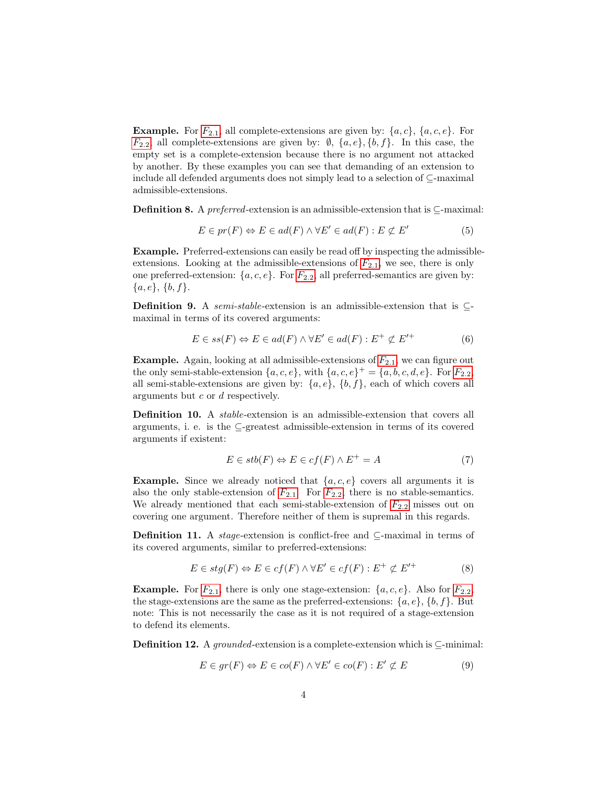**Example.** [F](#page-4-2)or  $F_{2,1}$ , all complete-extensions are given by:  $\{a, c\}$ ,  $\{a, c, e\}$ . For  $F_{2,2}$  $F_{2,2}$ , all complete-extensions are given by:  $\emptyset$ ,  $\{a, e\}$ ,  $\{b, f\}$ . In this case, the empty set is a complete-extension because there is no argument not attacked by another. By these examples you can see that demanding of an extension to include all defended arguments does not simply lead to a selection of ⊆-maximal admissible-extensions.

**Definition 8.** A preferred-extension is an admissible-extension that is  $\subset$ -maximal:

$$
E \in pr(F) \Leftrightarrow E \in ad(F) \land \forall E' \in ad(F) : E \not\subset E'
$$
 (5)

Example. Preferred-extensions can easily be read off by inspecting the admissibleextensions. Looking at the admissible-extensions of  $F_{2,1}$  $F_{2,1}$ , we see, there is only one preferred-extension:  $\{a, c, e\}$ . [F](#page-4-2)or  $F_{2,2}$ , all preferred-semantics are given by:  $\{a, e\}, \{b, f\}.$ 

**Definition 9.** A semi-stable-extension is an admissible-extension that is  $\subseteq$ maximal in terms of its covered arguments:

$$
E \in ss(F) \Leftrightarrow E \in ad(F) \land \forall E' \in ad(F) : E^+ \not\subset E'^+ \tag{6}
$$

**Example.** Again, looking at all admissible-extensions of  $F_{2,1}$  $F_{2,1}$ , we can figure out the only semi-stable-extension  $\{a, c, e\}$ , with  $\{a, c, e\}^+ = \{a, b, c, d, e\}$ . [F](#page-4-2)or  $F_{2,2}$ , all semi-stable-extensions are given by:  $\{a, e\}$ ,  $\{b, f\}$ , each of which covers all arguments but c or d respectively.

Definition 10. A stable-extension is an admissible-extension that covers all arguments, i. e. is the ⊆-greatest admissible-extension in terms of its covered arguments if existent:

$$
E \in stb(F) \Leftrightarrow E \in cf(F) \wedge E^+ = A \tag{7}
$$

**Example.** Since we already noticed that  $\{a, c, e\}$  covers all arguments it is also the only stable-extension of  $F_{2.1}$  $F_{2.1}$ . For  $F_{2.2}$ , there is no stable-semantics. We already mentioned that each semi-stable-extension of  $F_{2,2}$  $F_{2,2}$  misses out on covering one argument. Therefore neither of them is supremal in this regards.

**Definition 11.** A *stage*-extension is conflict-free and  $\subseteq$ -maximal in terms of its covered arguments, similar to preferred-extensions:

$$
E \in stg(F) \Leftrightarrow E \in cf(F) \land \forall E' \in cf(F) : E^+ \not\subset E'^+ \tag{8}
$$

**Example.** [F](#page-4-2)or  $F_{2,1}$ , there is only one stage-extension:  $\{a, c, e\}$ . Also for  $F_{2,2}$ , the stage-extensions are the same as the preferred-extensions:  $\{a, e\}, \{b, f\}$ . But note: This is not necessarily the case as it is not required of a stage-extension to defend its elements.

**Definition 12.** A grounded-extension is a complete-extension which is  $\subseteq$ -minimal:

$$
E \in gr(F) \Leftrightarrow E \in co(F) \land \forall E' \in co(F) : E' \not\subset E
$$
\n
$$
(9)
$$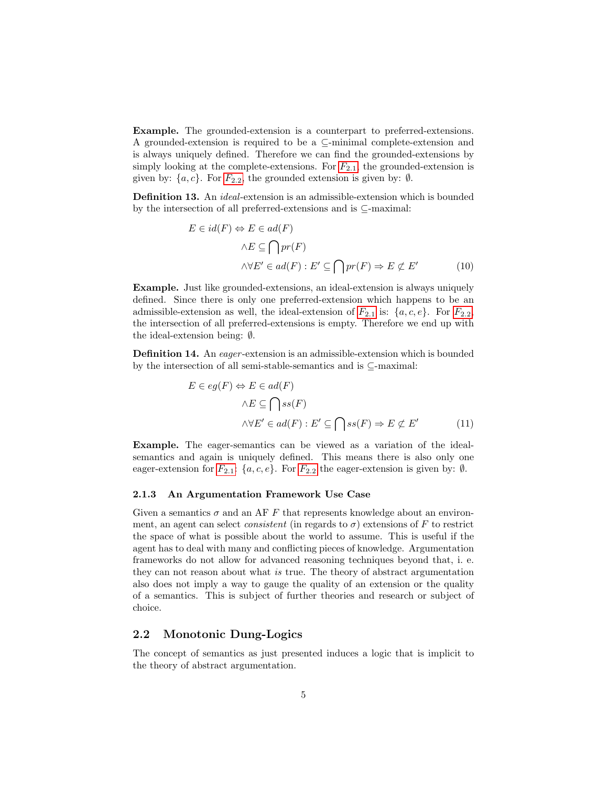Example. The grounded-extension is a counterpart to preferred-extensions. A grounded-extension is required to be a ⊆-minimal complete-extension and is always uniquely defined. Therefore we can find the grounded-extensions by simply looking at the complete-extensions. [F](#page-4-2)or  $F_{2,1}$ , the grounded-extension is given by:  $\{a, c\}$ . [F](#page-4-2)or  $F_{2,2}$ , the grounded extension is given by:  $\emptyset$ .

Definition 13. An ideal-extension is an admissible-extension which is bounded by the intersection of all preferred-extensions and is ⊆-maximal:

$$
E \in id(F) \Leftrightarrow E \in ad(F)
$$
  

$$
\wedge E \subseteq \bigcap pr(F)
$$
  

$$
\wedge \forall E' \in ad(F) : E' \subseteq \bigcap pr(F) \Rightarrow E \not\subset E'
$$
 (10)

Example. Just like grounded-extensions, an ideal-extension is always uniquely defined. Since there is only one preferred-extension which happens to be an admissible-extension as well, the ideal-extension of  $F_{2,1}$  $F_{2,1}$  is:  $\{a, c, e\}$ . For  $F_{2,2}$ , the intersection of all preferred-extensions is empty. Therefore we end up with the ideal-extension being: ∅.

Definition 14. An eager -extension is an admissible-extension which is bounded by the intersection of all semi-stable-semantics and is ⊆-maximal:

$$
E \in eg(F) \Leftrightarrow E \in ad(F)
$$
  

$$
\wedge E \subseteq \bigcap ss(F)
$$
  

$$
\wedge \forall E' \in ad(F) : E' \subseteq \bigcap ss(F) \Rightarrow E \not\subset E'
$$
 (11)

Example. The eager-semantics can be viewed as a variation of the idealsemantics and again is uniquely defined. This means there is also only one eager-extension for  $F_{2,1}$  $F_{2,1}$ : {a, c, e}. For  $F_{2,2}$  the eager-extension is given by:  $\emptyset$ .

#### <span id="page-6-0"></span>2.1.3 An Argumentation Framework Use Case

Given a semantics  $\sigma$  and an AF F that represents knowledge about an environment, an agent can select *consistent* (in regards to  $\sigma$ ) extensions of F to restrict the space of what is possible about the world to assume. This is useful if the agent has to deal with many and conflicting pieces of knowledge. Argumentation frameworks do not allow for advanced reasoning techniques beyond that, i. e. they can not reason about what is true. The theory of abstract argumentation also does not imply a way to gauge the quality of an extension or the quality of a semantics. This is subject of further theories and research or subject of choice.

#### <span id="page-6-1"></span>2.2 Monotonic Dung-Logics

The concept of semantics as just presented induces a logic that is implicit to the theory of abstract argumentation.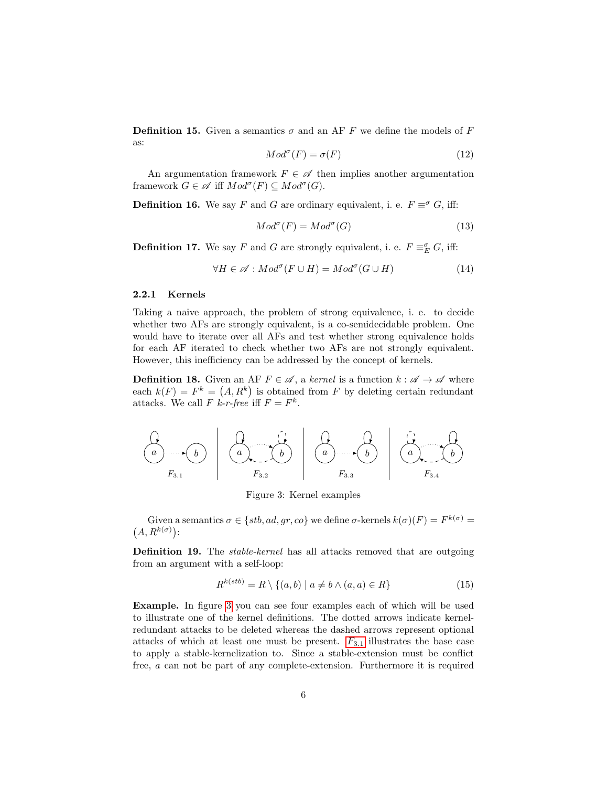**Definition 15.** Given a semantics  $\sigma$  and an AF F we define the models of F as:

$$
Mod^{\sigma}(F) = \sigma(F) \tag{12}
$$

An argumentation framework  $F \in \mathscr{A}$  then implies another argumentation framework  $G \in \mathscr{A}$  iff  $Mod^{\sigma}(F) \subseteq Mod^{\sigma}(G)$ .

**Definition 16.** We say F and G are ordinary equivalent, i. e.  $F \equiv \sigma G$ , iff:

$$
Mod^{\sigma}(F) = Mod^{\sigma}(G)
$$
\n(13)

<span id="page-7-2"></span>**Definition 17.** We say F and G are strongly equivalent, i. e.  $F \equiv_{E}^{\sigma} G$ , iff:

$$
\forall H \in \mathscr{A} : Mod^{\sigma}(F \cup H) = Mod^{\sigma}(G \cup H)
$$
 (14)

#### <span id="page-7-0"></span>2.2.1 Kernels

Taking a naive approach, the problem of strong equivalence, i. e. to decide whether two AFs are strongly equivalent, is a co-semidecidable problem. One would have to iterate over all AFs and test whether strong equivalence holds for each AF iterated to check whether two AFs are not strongly equivalent. However, this inefficiency can be addressed by the concept of kernels.

<span id="page-7-3"></span>**Definition 18.** Given an AF  $F \in \mathcal{A}$ , a kernel is a function  $k : \mathcal{A} \to \mathcal{A}$  where each  $k(F) = F^k = (A, R^k)$  is obtained from F by deleting certain redundant attacks. We call F k-r-free iff  $F = F^k$ .

<span id="page-7-1"></span>
$$
\begin{array}{|c|c|c|c|}\n\hline\na & b & c \\
\hline\nF_{3.1} & & F_{3.2}\n\end{array}\n\qquad\n\begin{array}{|c|c|c|}\n\hline\na & b & c \\
\hline\na & b & c \\
\hline\nF_{3.3} & & F_{3.4}\n\end{array}\n\qquad\n\begin{array}{|c|c|c|}\n\hline\na & b & c \\
\hline\na & b & c \\
\hline\nF_{3.4} & & F_{3.4}\n\end{array}
$$

Figure 3: Kernel examples

Given a semantics  $\sigma \in \{stb, ad, gr, co\}$  we define  $\sigma$ -kernels  $k(\sigma)(F) = F^{k(\sigma)} =$  $(A, R^{k(\sigma)})$ :

Definition 19. The *stable-kernel* has all attacks removed that are outgoing from an argument with a self-loop:

$$
R^{k(stb)} = R \setminus \{(a,b) \mid a \neq b \land (a,a) \in R\}
$$
\n
$$
(15)
$$

Example. In figure [3](#page-7-1) you can see four examples each of which will be used to illustrate one of the kernel definitions. The dotted arrows indicate kernelredundant attacks to be deleted whereas the dashed arrows represent optional attacks of which at least one must be present.  $F_{3,1}$  $F_{3,1}$  illustrates the base case to apply a stable-kernelization to. Since a stable-extension must be conflict free, a can not be part of any complete-extension. Furthermore it is required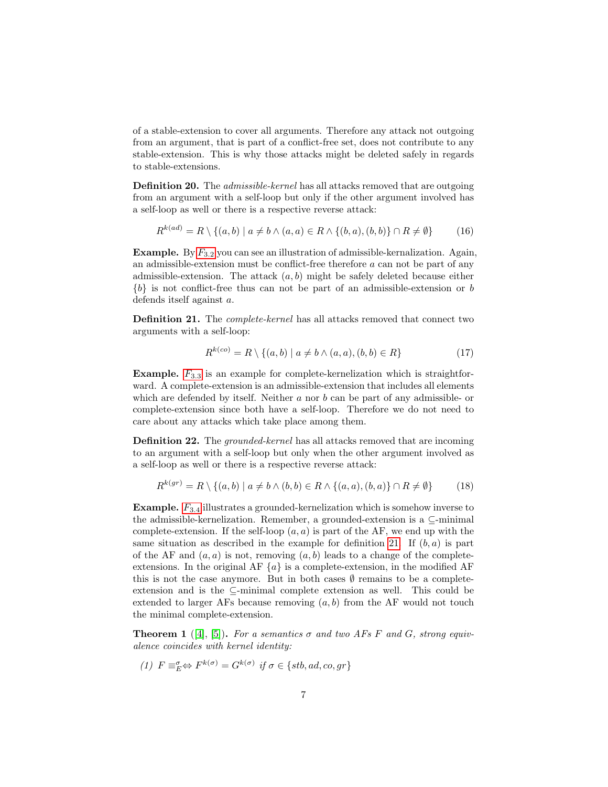of a stable-extension to cover all arguments. Therefore any attack not outgoing from an argument, that is part of a conflict-free set, does not contribute to any stable-extension. This is why those attacks might be deleted safely in regards to stable-extensions.

**Definition 20.** The *admissible-kernel* has all attacks removed that are outgoing from an argument with a self-loop but only if the other argument involved has a self-loop as well or there is a respective reverse attack:

$$
R^{k(ad)} = R \setminus \{(a,b) \mid a \neq b \land (a,a) \in R \land \{(b,a),(b,b)\} \cap R \neq \emptyset\}
$$
 (16)

**Example.** By  $F_{3,2}$  $F_{3,2}$  you can see an illustration of admissible-kernalization. Again, an admissible-extension must be conflict-free therefore a can not be part of any admissible-extension. The attack  $(a, b)$  might be safely deleted because either  ${b}$  is not conflict-free thus can not be part of an admissible-extension or b defends itself against a.

<span id="page-8-0"></span>**Definition 21.** The *complete-kernel* has all attacks removed that connect two arguments with a self-loop:

$$
R^{k(co)} = R \setminus \{(a, b) \mid a \neq b \land (a, a), (b, b) \in R\}
$$
\n(17)

**Example.**  $F_{3,3}$  $F_{3,3}$  is an example for complete-kernelization which is straightforward. A complete-extension is an admissible-extension that includes all elements which are defended by itself. Neither a nor b can be part of any admissible- or complete-extension since both have a self-loop. Therefore we do not need to care about any attacks which take place among them.

**Definition 22.** The *grounded-kernel* has all attacks removed that are incoming to an argument with a self-loop but only when the other argument involved as a self-loop as well or there is a respective reverse attack:

$$
R^{k(gr)} = R \setminus \{(a, b) \mid a \neq b \land (b, b) \in R \land \{(a, a), (b, a)\} \cap R \neq \emptyset\}
$$
 (18)

**Example.**  $F_{3,4}$  $F_{3,4}$  illustrates a grounded-kernelization which is somehow inverse to the admissible-kernelization. Remember, a grounded-extension is a ⊆-minimal complete-extension. If the self-loop  $(a, a)$  is part of the AF, we end up with the same situation as described in the example for definition [21.](#page-8-0) If  $(b, a)$  is part of the AF and  $(a, a)$  is not, removing  $(a, b)$  leads to a change of the completeextensions. In the original AF  $\{a\}$  is a complete-extension, in the modified AF this is not the case anymore. But in both cases  $\emptyset$  remains to be a completeextension and is the ⊆-minimal complete extension as well. This could be extended to larger AFs because removing  $(a, b)$  from the AF would not touch the minimal complete-extension.

**Theorem 1** ([\[4\]](#page-31-2), [\[5\]](#page-31-3)). For a semantics  $\sigma$  and two AFs F and G, strong equivalence coincides with kernel identity:

$$
(1) \ \ F \equiv^{\sigma}_{E} \Leftrightarrow F^{k(\sigma)} = G^{k(\sigma)} \ \ if \ \sigma \in \{stb, ad, co, gr\}
$$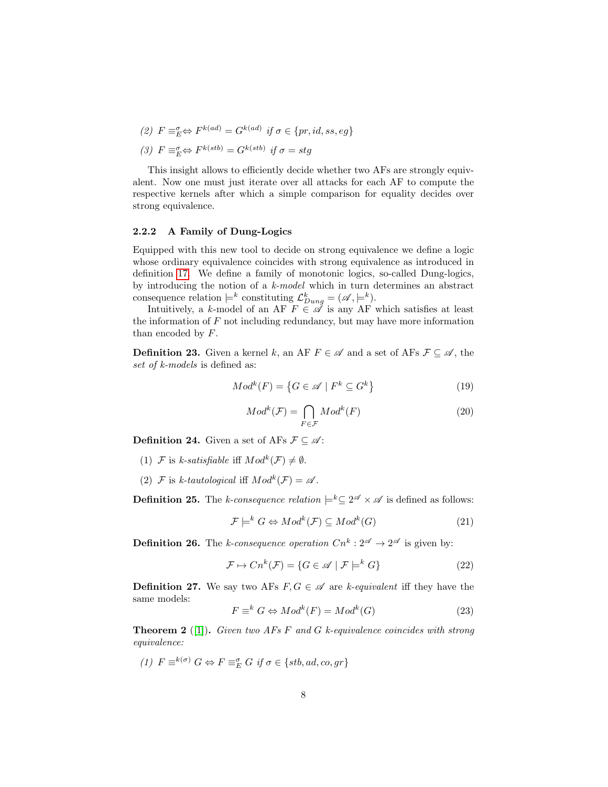(2)  $F \equiv_{E}^{\sigma} \Leftrightarrow F^{k(ad)} = G^{k(ad)}$  if  $\sigma \in \{pr, id, ss, eg\}$ 

(3) 
$$
F \equiv_E^{\sigma} \Leftrightarrow F^{k(stb)} = G^{k(stb)}
$$
 if  $\sigma = stg$ 

This insight allows to efficiently decide whether two AFs are strongly equivalent. Now one must just iterate over all attacks for each AF to compute the respective kernels after which a simple comparison for equality decides over strong equivalence.

#### <span id="page-9-0"></span>2.2.2 A Family of Dung-Logics

Equipped with this new tool to decide on strong equivalence we define a logic whose ordinary equivalence coincides with strong equivalence as introduced in definition [17.](#page-7-2) We define a family of monotonic logics, so-called Dung-logics, by introducing the notion of a k-model which in turn determines an abstract consequence relation  $\models^k$  constituting  $\mathcal{L}_{Dung}^k = (\mathscr{A}, \models^k)$ .

Intuitively, a k-model of an AF  $F \in \mathscr{A}$  is any AF which satisfies at least the information of  $F$  not including redundancy, but may have more information than encoded by F.

<span id="page-9-2"></span>**Definition 23.** Given a kernel k, an AF  $F \in \mathcal{A}$  and a set of AFs  $\mathcal{F} \subseteq \mathcal{A}$ , the set of k-models is defined as:

$$
Modk(F) = \{ G \in \mathscr{A} \mid Fk \subseteq Gk \}
$$
 (19)

$$
Modk(F) = \bigcap_{F \in \mathcal{F}} Modk(F)
$$
 (20)

**Definition 24.** Given a set of AFs  $\mathcal{F} \subseteq \mathcal{A}$ :

- (1) F is k-satisfiable iff  $Mod<sup>k</sup>(F) \neq \emptyset$ .
- (2)  $\mathcal F$  is k-tautological iff  $Mod^k(\mathcal F) = \mathscr A$ .

<span id="page-9-1"></span>**Definition 25.** The k-consequence relation  $\models^k\subseteq 2^{\mathscr{A}} \times \mathscr{A}$  is defined as follows:

$$
\mathcal{F} \models^k G \Leftrightarrow Mod^k(\mathcal{F}) \subseteq Mod^k(G) \tag{21}
$$

<span id="page-9-3"></span>**Definition 26.** The k-consequence operation  $Cn^k: 2^{\mathscr{A}} \to 2^{\mathscr{A}}$  is given by:

$$
\mathcal{F} \mapsto Cn^k(\mathcal{F}) = \{ G \in \mathscr{A} \mid \mathcal{F} \models^k G \}
$$
 (22)

**Definition 27.** We say two AFs  $F, G \in \mathcal{A}$  are k-equivalent iff they have the same models:

$$
F \equiv^k G \Leftrightarrow Mod^k(F) = Mod^k(G)
$$
\n(23)

**Theorem 2** ([\[1\]](#page-30-0)). Given two AFs F and G k-equivalence coincides with strong equivalence:

(1)  $F \equiv^{k(\sigma)} G \Leftrightarrow F \equiv^{\sigma}_{E} G \text{ if } \sigma \in \{stb, ad, co, gr\}$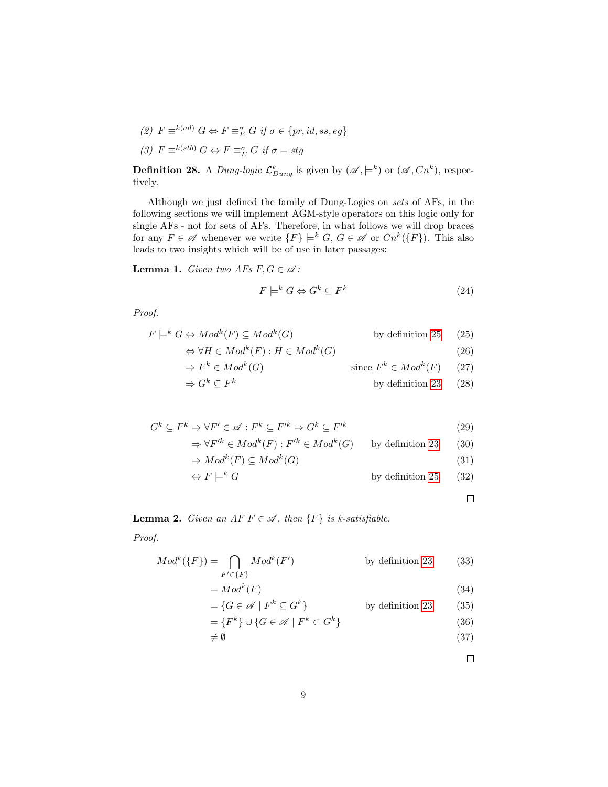(2)  $F \equiv^{k(ad)} G \Leftrightarrow F \equiv^{\sigma}_E G \text{ if } \sigma \in \{pr, id, ss, eg\}$ (3)  $F \equiv k(sib) G \Leftrightarrow F \equiv_E^{\sigma} G \text{ if } \sigma = stg$ 

**Definition 28.** A *Dung-logic*  $\mathcal{L}_{Dung}^k$  is given by  $(\mathscr{A}, \models^k)$  or  $(\mathscr{A}, Cn^k)$ , respectively.

Although we just defined the family of Dung-Logics on sets of AFs, in the following sections we will implement AGM-style operators on this logic only for single AFs - not for sets of AFs. Therefore, in what follows we will drop braces for any  $F \in \mathscr{A}$  whenever we write  $\{F\} \models^k G, G \in \mathscr{A}$  or  $Cn^k(\{F\})$ . This also leads to two insights which will be of use in later passages:

<span id="page-10-0"></span>**Lemma 1.** Given two AFs  $F, G \in \mathcal{A}$ :

$$
F \models^k G \Leftrightarrow G^k \subseteq F^k \tag{24}
$$

Proof.

$$
F \models^k G \Leftrightarrow Mod^k(F) \subseteq Mod^k(G) \qquad \text{by definition 25} \tag{25}
$$
  

$$
\Leftrightarrow \forall H \in Mod^k(F) : H \in Mod^k(G) \tag{26}
$$

$$
\Rightarrow F^k \in Mod^k(G) \qquad \text{since } F^k \in Mod^k(F) \qquad (27)
$$

$$
\Rightarrow G^k \subseteq F^k \qquad \qquad \text{by definition 23} \qquad (28)
$$

$$
G^{k} \subseteq F^{k} \Rightarrow \forall F' \in \mathscr{A} : F^{k} \subseteq F'^{k} \Rightarrow G^{k} \subseteq F'^{k}
$$
\n
$$
\Rightarrow \forall F'^{k} \in Mod^{k}(F) : F'^{k} \in Mod^{k}(G) \qquad \text{by definition 23} \qquad (30)
$$
\n
$$
\Rightarrow Mod^{k}(F) \subseteq Mod^{k}(G) \qquad (31)
$$

$$
\Leftrightarrow F \models^k G \qquad \qquad \text{by definition 25} \qquad (32)
$$

 $\Box$ 

<span id="page-10-1"></span>**Lemma 2.** Given an AF  $F \in \mathcal{A}$ , then  $\{F\}$  is k-satisfiable.

Proof.

$$
Modk({F}) = \bigcap_{F' \in {F}} Modk(F')
$$
 by definition 23 (33)  
=  $Modk(F)$  (34)

$$
= \{ G \in \mathscr{A} \mid F^k \subseteq G^k \} \qquad \text{by definition 23} \qquad (35)
$$

$$
= \{F^k\} \cup \{G \in \mathscr{A} \mid F^k \subset G^k\} \tag{36}
$$

$$
\neq \emptyset \tag{37}
$$

 $\Box$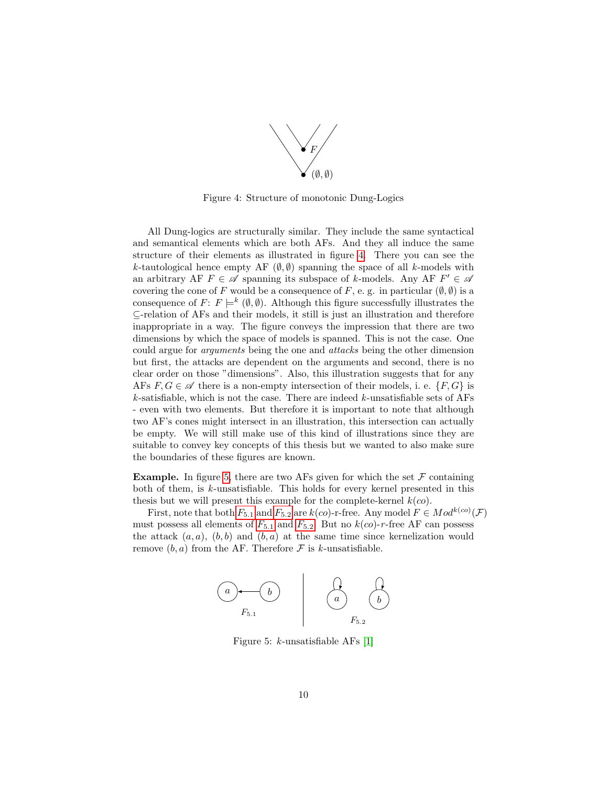

<span id="page-11-0"></span>Figure 4: Structure of monotonic Dung-Logics

All Dung-logics are structurally similar. They include the same syntactical and semantical elements which are both AFs. And they all induce the same structure of their elements as illustrated in figure [4.](#page-11-0) There you can see the k-tautological hence empty AF  $(\emptyset, \emptyset)$  spanning the space of all k-models with an arbitrary AF  $F \in \mathscr{A}$  spanning its subspace of k-models. Any AF  $F' \in \mathscr{A}$ covering the cone of F would be a consequence of F, e. g. in particular  $(\emptyset, \emptyset)$  is a consequence of  $F: F \models^k (\emptyset, \emptyset)$ . Although this figure successfully illustrates the ⊆-relation of AFs and their models, it still is just an illustration and therefore inappropriate in a way. The figure conveys the impression that there are two dimensions by which the space of models is spanned. This is not the case. One could argue for arguments being the one and attacks being the other dimension but first, the attacks are dependent on the arguments and second, there is no clear order on those "dimensions". Also, this illustration suggests that for any AFs  $F, G \in \mathscr{A}$  there is a non-empty intersection of their models, i. e.  $\{F, G\}$  is  $k$ -satisfiable, which is not the case. There are indeed  $k$ -unsatisfiable sets of AFs - even with two elements. But therefore it is important to note that although two AF's cones might intersect in an illustration, this intersection can actually be empty. We will still make use of this kind of illustrations since they are suitable to convey key concepts of this thesis but we wanted to also make sure the boundaries of these figures are known.

**Example.** In figure [5,](#page-11-1) there are two AFs given for which the set  $\mathcal F$  containing both of them, is k-unsatisfiable. This holds for every kernel presented in this thesis but we will present this example for the complete-kernel  $k(co)$ .

<span id="page-11-1"></span>[F](#page-11-1)irst, note that both  $F_{5.1}$  and  $F_{5.2}$  are  $k(co)$ -r-free. Any model  $F \in Mod^{k(co)}(\mathcal{F})$ must possess all elements of  $F_{5,1}$  $F_{5,1}$  and  $F_{5,2}$ . But no  $k(co)$ -r-free AF can possess the attack  $(a, a)$ ,  $(b, b)$  and  $(b, a)$  at the same time since kernelization would remove  $(b, a)$  from the AF. Therefore F is k-unsatisfiable.



Figure 5:  $k$ -unsatisfiable AFs [\[1\]](#page-30-0)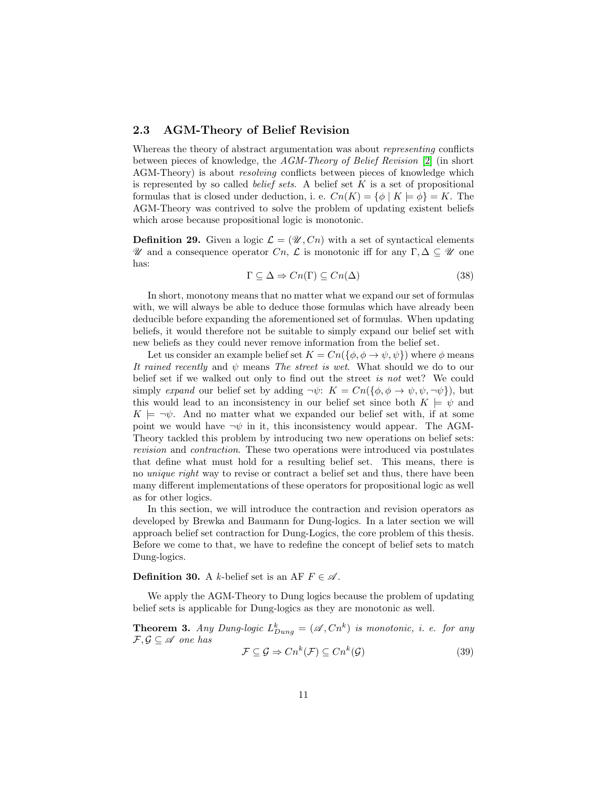#### <span id="page-12-0"></span>2.3 AGM-Theory of Belief Revision

Whereas the theory of abstract argumentation was about representing conflicts between pieces of knowledge, the AGM-Theory of Belief Revision [\[2\]](#page-31-0) (in short AGM-Theory) is about *resolving* conflicts between pieces of knowledge which is represented by so called *belief sets*. A belief set  $K$  is a set of propositional formulas that is closed under deduction, i. e.  $Cn(K) = \{ \phi \mid K \models \phi \} = K$ . The AGM-Theory was contrived to solve the problem of updating existent beliefs which arose because propositional logic is monotonic.

**Definition 29.** Given a logic  $\mathcal{L} = (\mathcal{U}, C_n)$  with a set of syntactical elements U and a consequence operator Cn, L is monotonic iff for any  $\Gamma, \Delta \subseteq \mathcal{U}$  one has:

$$
\Gamma \subseteq \Delta \Rightarrow Cn(\Gamma) \subseteq Cn(\Delta) \tag{38}
$$

In short, monotony means that no matter what we expand our set of formulas with, we will always be able to deduce those formulas which have already been deducible before expanding the aforementioned set of formulas. When updating beliefs, it would therefore not be suitable to simply expand our belief set with new beliefs as they could never remove information from the belief set.

Let us consider an example belief set  $K = Cn(\{\phi, \phi \to \psi, \psi\})$  where  $\phi$  means It rained recently and  $\psi$  means The street is wet. What should we do to our belief set if we walked out only to find out the street is not wet? We could simply expand our belief set by adding  $\neg \psi$ :  $K = Cn(\{\phi, \phi \rightarrow \psi, \psi, \neg \psi\})$ , but this would lead to an inconsistency in our belief set since both  $K \models \psi$  and  $K \models \neg \psi$ . And no matter what we expanded our belief set with, if at some point we would have  $\neg \psi$  in it, this inconsistency would appear. The AGM-Theory tackled this problem by introducing two new operations on belief sets: revision and contraction. These two operations were introduced via postulates that define what must hold for a resulting belief set. This means, there is no unique right way to revise or contract a belief set and thus, there have been many different implementations of these operators for propositional logic as well as for other logics.

In this section, we will introduce the contraction and revision operators as developed by Brewka and Baumann for Dung-logics. In a later section we will approach belief set contraction for Dung-Logics, the core problem of this thesis. Before we come to that, we have to redefine the concept of belief sets to match Dung-logics.

#### <span id="page-12-1"></span>**Definition 30.** A k-belief set is an AF  $F \in \mathcal{A}$ .

We apply the AGM-Theory to Dung logics because the problem of updating belief sets is applicable for Dung-logics as they are monotonic as well.

<span id="page-12-2"></span>**Theorem 3.** Any Dung-logic  $L_{Dung}^k = (\mathscr{A}, Cn^k)$  is monotonic, i. e. for any  $\mathcal{F}, \mathcal{G} \subseteq \mathcal{A}$  one has

$$
\mathcal{F} \subseteq \mathcal{G} \Rightarrow Cn^k(\mathcal{F}) \subseteq Cn^k(\mathcal{G})
$$
\n(39)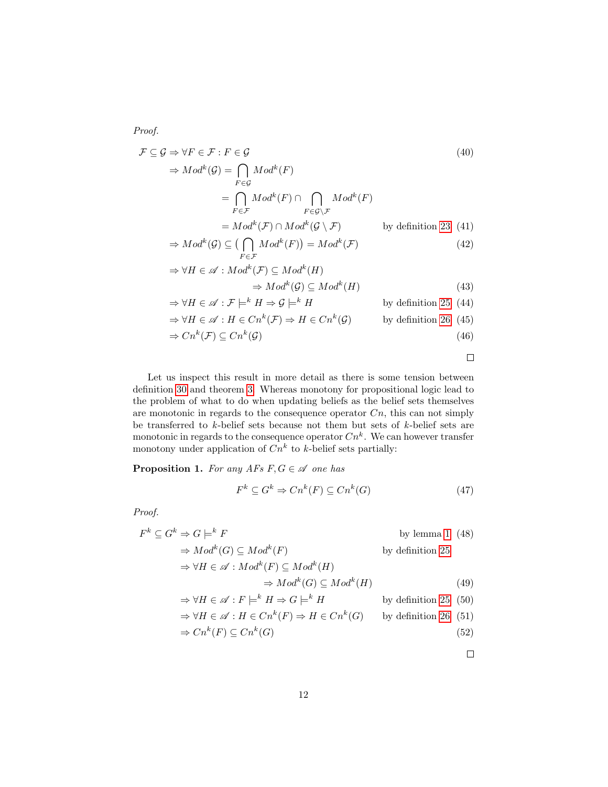Proof.

$$
\mathcal{F} \subseteq \mathcal{G} \Rightarrow \forall F \in \mathcal{F} : F \in \mathcal{G}
$$
\n
$$
\Rightarrow Mod^{k}(\mathcal{G}) = \bigcap_{F \in \mathcal{G}} Mod^{k}(F)
$$
\n
$$
= \bigcap_{F \in \mathcal{F}} Mod^{k}(F) \cap \bigcap_{F \in \mathcal{G} \setminus \mathcal{F}} Mod^{k}(F)
$$
\n
$$
= Mod^{k}(\mathcal{F}) \cap Mod^{k}(\mathcal{G} \setminus \mathcal{F}) \qquad \text{by definition 23 (41)}
$$
\n
$$
\Rightarrow Mod^{k}(\mathcal{G}) \subseteq (\bigcap Mod^{k}(F)) = Mod^{k}(\mathcal{F})
$$
\n(42)

$$
\Rightarrow M \circ a \quad (\mathcal{Y}) \subseteq (\prod_{F \in \mathcal{F}} M \circ a \quad (F)) = M \circ a \quad (\mathcal{F})
$$
\n
$$
\Rightarrow \forall H \in \mathcal{A} : Mod^k(\mathcal{F}) \subseteq Mod^k(H)
$$
\n(42)

$$
\Rightarrow Mod^k(\mathcal{G}) \subseteq Mod^k(H)
$$
\n(43)

$$
\Rightarrow \forall H \in \mathscr{A} : \mathcal{F} \models^k H \Rightarrow \mathcal{G} \models^k H
$$
 by definition 25 (44)

$$
\Rightarrow \forall H \in \mathscr{A} : H \in Cn^k(\mathcal{F}) \Rightarrow H \in Cn^k(\mathcal{G}) \qquad \text{by definition 26 (45)}
$$

$$
\Rightarrow Cn^k(\mathcal{F}) \subseteq Cn^k(\mathcal{G}) \tag{46}
$$

 $\Box$ 

Let us inspect this result in more detail as there is some tension between definition [30](#page-12-1) and theorem [3.](#page-12-2) Whereas monotony for propositional logic lead to the problem of what to do when updating beliefs as the belief sets themselves are monotonic in regards to the consequence operator  $C_n$ , this can not simply be transferred to  $k$ -belief sets because not them but sets of  $k$ -belief sets are monotonic in regards to the consequence operator  $Cn^k$ . We can however transfer monotony under application of  $Cn^k$  to k-belief sets partially:

<span id="page-13-0"></span>**Proposition 1.** For any AFs  $F, G \in \mathcal{A}$  one has

$$
F^k \subseteq G^k \Rightarrow Cn^k(F) \subseteq Cn^k(G) \tag{47}
$$

Proof.

$$
F^{k} \subseteq G^{k} \Rightarrow G \models^{k} F
$$
 by lemma 1 (48)  
\n
$$
\Rightarrow Mod^{k}(G) \subseteq Mod^{k}(F)
$$
 by definition 25  
\n
$$
\Rightarrow \forall H \in \mathscr{A} : Mod^{k}(F) \subseteq Mod^{k}(H)
$$
  
\n
$$
\Rightarrow Mod^{k}(G) \subseteq Mod^{k}(H)
$$
 (49)  
\n
$$
\Rightarrow \forall H \in \mathscr{A} : F \models^{k} H \Rightarrow G \models^{k} H
$$
 by definition 25 (50)

$$
\Rightarrow \forall H \in \mathscr{A} : H \in Cn^k(F) \Rightarrow H \in Cn^k(G) \qquad \text{by definition 26 (51)}
$$

$$
\Rightarrow Cn^k(F) \subseteq Cn^k(G) \tag{52}
$$

 $\Box$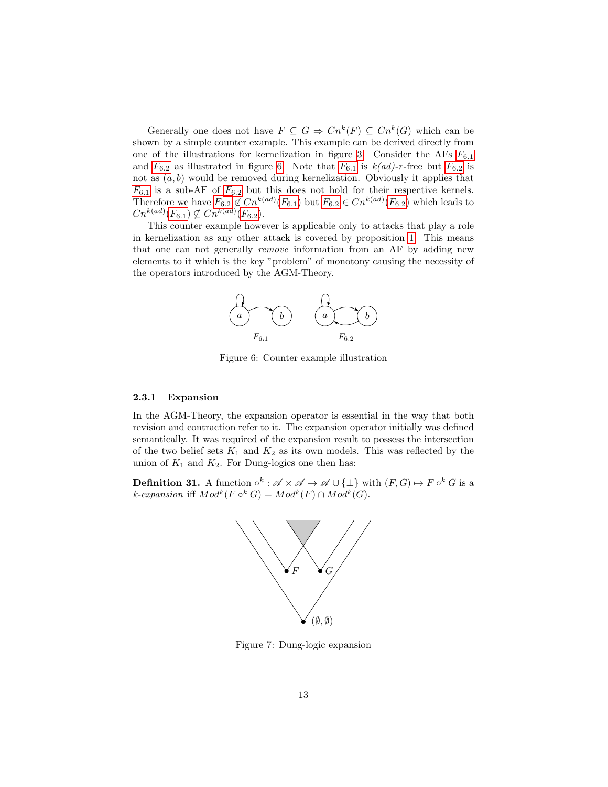Generally one does not have  $F \subseteq G \Rightarrow Cn^k(F) \subseteq Cn^k(G)$  which can be shown by a simple counter example. This example can be derived directly from one of the illustrations for kernelization in figure [3.](#page-7-1) Consider the A[F](#page-14-1)s  $F_{6.1}$ and  $F_{6.2}$  $F_{6.2}$  as illustrated in figure [6.](#page-14-1) Note that  $F_{6.1}$  is  $k(ad)$ -r-free but  $F_{6.2}$  is not as  $(a, b)$  would be removed during kernelization. Obviously it applies that  $F_{6.1}$  $F_{6.1}$  is a sub-AF of  $F_{6.2}$  but this does not hold for their respective kernels. Therefore we have  $F_{6.2} \notin Cn^{k(ad)}(F_{6.1})$  $F_{6.2} \notin Cn^{k(ad)}(F_{6.1})$  but  $F_{6.2} \in Cn^{k(ad)}(F_{6.2})$  which leads to  $Cn^{k(ad)}(F_{6.1}) \nsubseteq Cn^{k(ad)}(F_{6.2}).$  $Cn^{k(ad)}(F_{6.1}) \nsubseteq Cn^{k(ad)}(F_{6.2}).$  $Cn^{k(ad)}(F_{6.1}) \nsubseteq Cn^{k(ad)}(F_{6.2}).$ 

<span id="page-14-1"></span>This counter example however is applicable only to attacks that play a role in kernelization as any other attack is covered by proposition [1.](#page-13-0) This means that one can not generally remove information from an AF by adding new elements to it which is the key "problem" of monotony causing the necessity of the operators introduced by the AGM-Theory.



Figure 6: Counter example illustration

#### <span id="page-14-0"></span>2.3.1 Expansion

In the AGM-Theory, the expansion operator is essential in the way that both revision and contraction refer to it. The expansion operator initially was defined semantically. It was required of the expansion result to possess the intersection of the two belief sets  $K_1$  and  $K_2$  as its own models. This was reflected by the union of  $K_1$  and  $K_2$ . For Dung-logics one then has:

<span id="page-14-2"></span>**Definition 31.** A function  $\circ^k$ :  $\mathscr{A} \times \mathscr{A} \to \mathscr{A} \cup {\{\perp\}}$  with  $(F, G) \mapsto F \circ^k G$  is a k-expansion iff  $Mod^k(F \circ^k G) = Mod^k(F) \cap Mod^k(G)$ .



Figure 7: Dung-logic expansion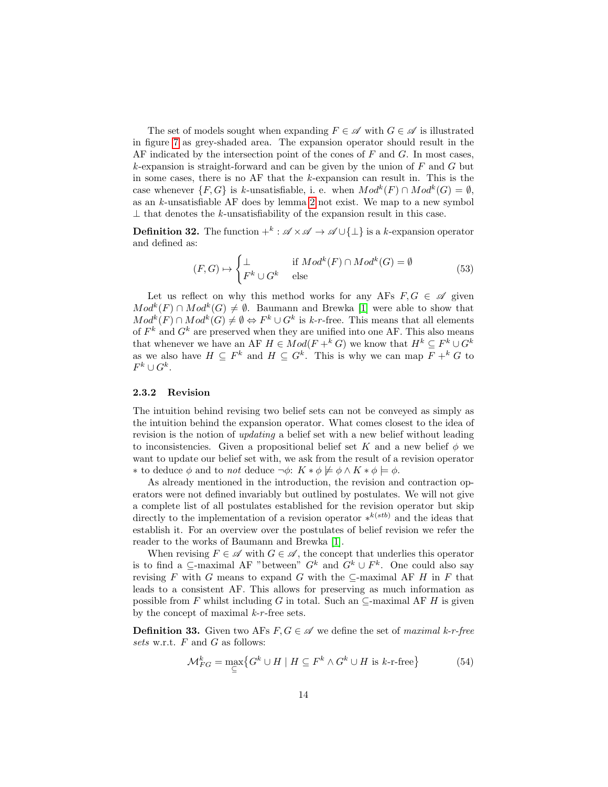The set of models sought when expanding  $F \in \mathscr{A}$  with  $G \in \mathscr{A}$  is illustrated in figure [7](#page-14-2) as grey-shaded area. The expansion operator should result in the AF indicated by the intersection point of the cones of  $F$  and  $G$ . In most cases,  $k$ -expansion is straight-forward and can be given by the union of  $F$  and  $G$  but in some cases, there is no AF that the k-expansion can result in. This is the case whenever  $\{F,G\}$  is k-unsatisfiable, i. e. when  $Mod^k(F) \cap Mod^k(G) = \emptyset$ , as an  $k$ -unsatisfiable AF does by lemma [2](#page-10-1) not exist. We map to a new symbol  $\perp$  that denotes the k-unsatisfiability of the expansion result in this case.

<span id="page-15-1"></span>**Definition 32.** The function  $+^k : \mathscr{A} \times \mathscr{A} \to \mathscr{A} \cup \{\perp\}$  is a k-expansion operator and defined as:

$$
(F, G) \mapsto \begin{cases} \bot & \text{if } Mod^k(F) \cap Mod^k(G) = \emptyset \\ F^k \cup G^k & \text{else} \end{cases}
$$
(53)

Let us reflect on why this method works for any AFs  $F, G \in \mathscr{A}$  given  $Mod<sup>k</sup>(F) \cap Mod<sup>k</sup>(G) \neq \emptyset$ . Baumann and Brewka [\[1\]](#page-30-0) were able to show that  $Mod^k(F) \cap Mod^k(G) \neq \emptyset \Leftrightarrow F^k \cup G^k$  is k-r-free. This means that all elements of  $F^k$  and  $G^k$  are preserved when they are unified into one AF. This also means that whenever we have an AF  $H \in Mod(F +^k G)$  we know that  $H^k \subseteq F^k \cup G^k$ as we also have  $H \subseteq F^k$  and  $H \subseteq G^k$ . This is why we can map  $F +^k G$  to  $F^k \cup G^k$ .

#### <span id="page-15-0"></span>2.3.2 Revision

The intuition behind revising two belief sets can not be conveyed as simply as the intuition behind the expansion operator. What comes closest to the idea of revision is the notion of updating a belief set with a new belief without leading to inconsistencies. Given a propositional belief set K and a new belief  $\phi$  we want to update our belief set with, we ask from the result of a revision operator ∗ to deduce φ and to *not* deduce  $\neg \phi$ :  $K * φ \not\models φ \land K * φ \models φ$ .

As already mentioned in the introduction, the revision and contraction operators were not defined invariably but outlined by postulates. We will not give a complete list of all postulates established for the revision operator but skip directly to the implementation of a revision operator  $*^{k(stb)}$  and the ideas that establish it. For an overview over the postulates of belief revision we refer the reader to the works of Baumann and Brewka [\[1\]](#page-30-0).

When revising  $F \in \mathscr{A}$  with  $G \in \mathscr{A}$ , the concept that underlies this operator is to find a  $\subseteq$ -maximal AF "between"  $G^k$  and  $G^k \cup F^k$ . One could also say revising  $F$  with  $G$  means to expand  $G$  with the  $\subseteq$ -maximal AF  $H$  in  $F$  that leads to a consistent AF. This allows for preserving as much information as possible from F whilst including G in total. Such an  $\subseteq$ -maximal AF H is given by the concept of maximal  $k-r$ -free sets.

<span id="page-15-2"></span>**Definition 33.** Given two AFs  $F, G \in \mathcal{A}$  we define the set of maximal k-r-free sets w.r.t.  $F$  and  $G$  as follows:

$$
\mathcal{M}_{FG}^{k} = \max_{\subseteq} \{ G^{k} \cup H \mid H \subseteq F^{k} \wedge G^{k} \cup H \text{ is } k\text{-r-free} \} \tag{54}
$$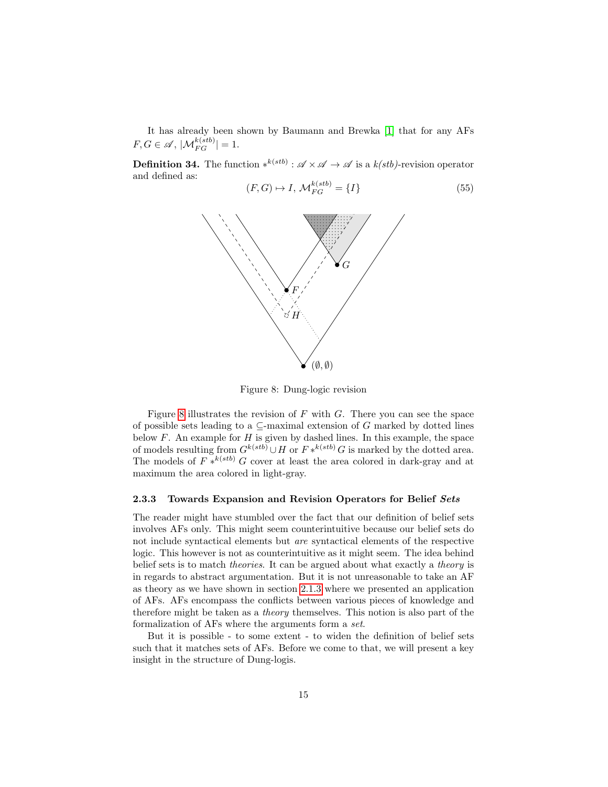It has already been shown by Baumann and Brewka [\[1\]](#page-30-0) that for any AFs  $F, G \in \mathscr{A}, |\mathcal{M}_{FG}^{k(stb)}| = 1.$ 

<span id="page-16-2"></span><span id="page-16-1"></span>**Definition 34.** The function  $*^{k(stb)} : \mathscr{A} \times \mathscr{A} \to \mathscr{A}$  is a  $k(stb)$ -revision operator and defined as:

$$
(F, G) \mapsto I, \mathcal{M}_{FG}^{k(stb)} = \{I\}
$$
\n
$$
(55)
$$



Figure 8: Dung-logic revision

Figure [8](#page-16-1) illustrates the revision of  $F$  with  $G$ . There you can see the space of possible sets leading to a  $\subseteq$ -maximal extension of G marked by dotted lines below  $F$ . An example for  $H$  is given by dashed lines. In this example, the space of models resulting from  $G^{k(stb)} \cup H$  or  $F *^{k(stb)} G$  is marked by the dotted area. The models of  $F *^{k(stb)} G$  cover at least the area colored in dark-gray and at maximum the area colored in light-gray.

#### <span id="page-16-0"></span>2.3.3 Towards Expansion and Revision Operators for Belief Sets

The reader might have stumbled over the fact that our definition of belief sets involves AFs only. This might seem counterintuitive because our belief sets do not include syntactical elements but are syntactical elements of the respective logic. This however is not as counterintuitive as it might seem. The idea behind belief sets is to match *theories*. It can be argued about what exactly a *theory* is in regards to abstract argumentation. But it is not unreasonable to take an AF as theory as we have shown in section [2.1.3](#page-6-0) where we presented an application of AFs. AFs encompass the conflicts between various pieces of knowledge and therefore might be taken as a theory themselves. This notion is also part of the formalization of AFs where the arguments form a set.

But it is possible - to some extent - to widen the definition of belief sets such that it matches sets of AFs. Before we come to that, we will present a key insight in the structure of Dung-logis.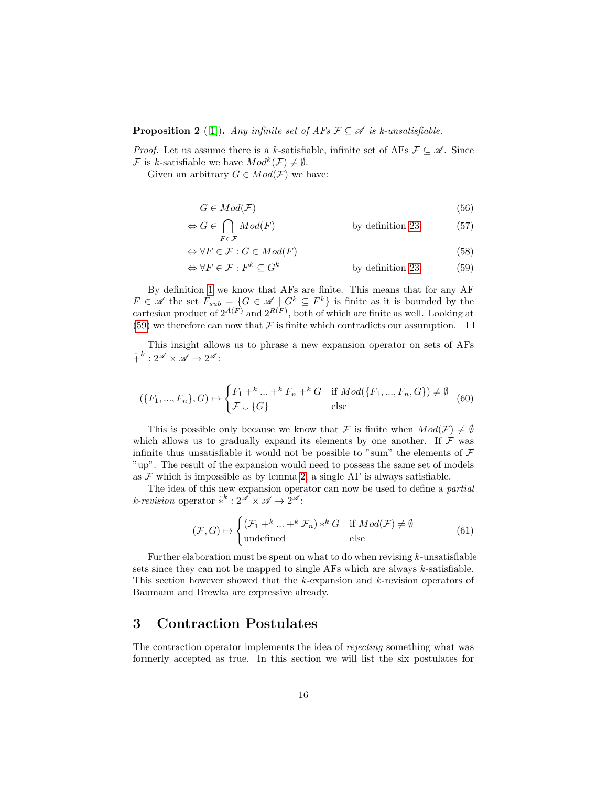**Proposition 2** ([\[1\]](#page-30-0)). Any infinite set of AFs  $\mathcal{F} \subseteq \mathcal{A}$  is k-unsatisfiable.

*Proof.* Let us assume there is a k-satisfiable, infinite set of AFs  $\mathcal{F} \subseteq \mathcal{A}$ . Since F is k-satisfiable we have  $Mod^k(\mathcal{F}) \neq \emptyset$ .

Given an arbitrary  $G \in Mod(F)$  we have:

<span id="page-17-1"></span>
$$
G \in Mod(\mathcal{F}) \tag{56}
$$

$$
\Leftrightarrow G \in \bigcap_{F \in \mathcal{F}} Mod(F) \qquad \qquad \text{by definition 23} \tag{57}
$$

$$
\Leftrightarrow \forall F \in \mathcal{F} : G \in Mod(F) \tag{58}
$$

$$
\Leftrightarrow \forall F \in \mathcal{F} : F^k \subseteq G^k \qquad \qquad \text{by definition 23} \tag{59}
$$

By definition [1](#page-3-3) we know that AFs are finite. This means that for any AF  $F \in \mathscr{A}$  the set  $F_{sub} = \{G \in \mathscr{A} \mid G^k \subseteq F^k\}$  is finite as it is bounded by the cartesian product of  $2^{A(F)}$  and  $2^{R(F)}$ , both of which are finite as well. Looking at [\(59\)](#page-17-1) we therefore can now that F is finite which contradicts our assumption.  $\Box$ 

This insight allows us to phrase a new expansion operator on sets of AFs  $\tilde{+}^k: 2^{\mathscr{A}} \times \mathscr{A} \to 2^{\mathscr{A}}$ :

$$
(\{F_1, ..., F_n\}, G) \mapsto \begin{cases} F_1 +^k ... +^k F_n +^k G & \text{if } Mod(\{F_1, ..., F_n, G\}) \neq \emptyset \\ \mathcal{F} \cup \{G\} & \text{else} \end{cases} (60)
$$

This is possible only because we know that F is finite when  $Mod(F) \neq \emptyset$ which allows us to gradually expand its elements by one another. If  $\mathcal F$  was infinite thus unsatisfiable it would not be possible to "sum" the elements of  $\mathcal F$ "up". The result of the expansion would need to possess the same set of models as  $\mathcal F$  which is impossible as by lemma [2,](#page-10-1) a single AF is always satisfiable.

The idea of this new expansion operator can now be used to define a partial k-revision operator  $\tilde{*}^k: 2^{\mathscr{A}} \times \mathscr{A} \to 2^{\mathscr{A}}$ :

$$
(\mathcal{F}, G) \mapsto \begin{cases} (\mathcal{F}_1 +^k \dots +^k \mathcal{F}_n) *^k G & \text{if } Mod(\mathcal{F}) \neq \emptyset \\ \text{undefined} & \text{else} \end{cases} (61)
$$

Further elaboration must be spent on what to do when revising  $k$ -unsatisfiable sets since they can not be mapped to single AFs which are always  $k$ -satisfiable. This section however showed that the  $k$ -expansion and  $k$ -revision operators of Baumann and Brewka are expressive already.

### <span id="page-17-0"></span>3 Contraction Postulates

The contraction operator implements the idea of rejecting something what was formerly accepted as true. In this section we will list the six postulates for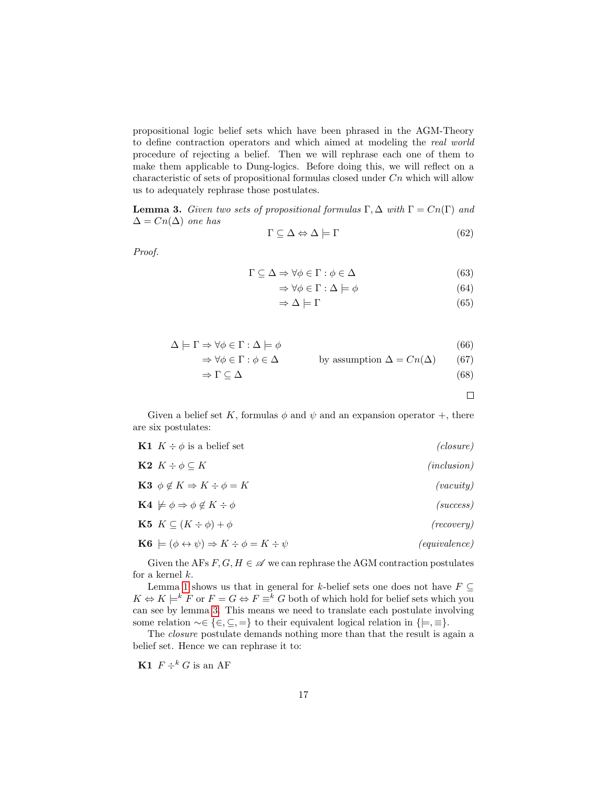propositional logic belief sets which have been phrased in the AGM-Theory to define contraction operators and which aimed at modeling the real world procedure of rejecting a belief. Then we will rephrase each one of them to make them applicable to Dung-logics. Before doing this, we will reflect on a characteristic of sets of propositional formulas closed under  $C_n$  which will allow us to adequately rephrase those postulates.

<span id="page-18-0"></span>**Lemma 3.** Given two sets of propositional formulas  $\Gamma, \Delta$  with  $\Gamma = Cn(\Gamma)$  and  $\Delta = Cn(\Delta)$  one has

$$
\Gamma \subseteq \Delta \Leftrightarrow \Delta \models \Gamma \tag{62}
$$

Proof.

$$
\Gamma \subseteq \Delta \Rightarrow \forall \phi \in \Gamma : \phi \in \Delta \tag{63}
$$

$$
\Rightarrow \forall \phi \in \Gamma : \Delta \models \phi \tag{64}
$$

$$
\Rightarrow \Delta \models \Gamma \tag{65}
$$

$$
\Delta \models \Gamma \Rightarrow \forall \phi \in \Gamma : \Delta \models \phi \tag{66}
$$
\n
$$
\Delta \models \Gamma \Rightarrow \forall \phi \in \Gamma : \Delta \models \phi \tag{67}
$$

$$
\Rightarrow \forall \phi \in \Gamma : \phi \in \Delta \qquad \text{by assumption } \Delta = Cn(\Delta) \qquad (67)
$$

$$
\Rightarrow \Gamma \subseteq \Delta \tag{68}
$$

 $\Box$ 

Given a belief set K, formulas  $\phi$  and  $\psi$  and an expansion operator +, there are six postulates:

| <b>K1</b> $K \div \phi$ is a belief set                                                 | (closure)     |
|-----------------------------------------------------------------------------------------|---------------|
| <b>K2</b> $K \div \phi \subseteq K$                                                     | (inclusion)   |
| <b>K3</b> $\phi \notin K \Rightarrow K \div \phi = K$                                   | (vacuity)     |
| $\mathbf{K4} \not\models \phi \Rightarrow \phi \not\in K \div \phi$                     | (success)     |
| <b>K5</b> $K \subseteq (K \div \phi) + \phi$                                            | (recovery)    |
| $\mathbf{K6} \models (\phi \leftrightarrow \psi) \Rightarrow K \div \phi = K \div \psi$ | (equivalence) |
|                                                                                         |               |

Given the AFs  $F, G, H \in \mathscr{A}$  we can rephrase the AGM contraction postulates for a kernel  $k$ .

Lemma [1](#page-10-0) shows us that in general for k-belief sets one does not have  $F \subseteq$  $K \Leftrightarrow K \models^k F$  or  $F = G \Leftrightarrow F \equiv^k G$  both of which hold for belief sets which you can see by lemma [3.](#page-18-0) This means we need to translate each postulate involving some relation  $\sim \in \{ \in, \subseteq, = \}$  to their equivalent logical relation in  $\{ \models, \equiv \}.$ 

The *closure* postulate demands nothing more than that the result is again a belief set. Hence we can rephrase it to:

K1  $F \div^k G$  is an AF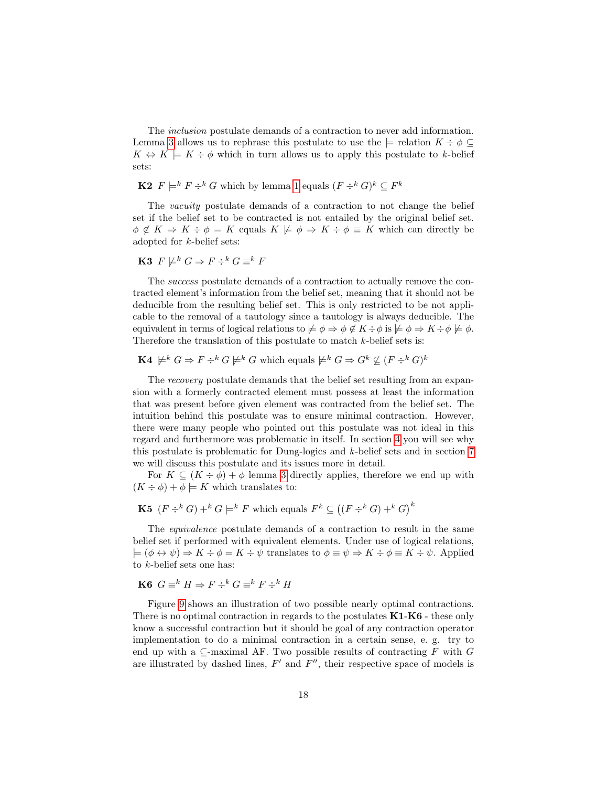The inclusion postulate demands of a contraction to never add information. Lemma [3](#page-18-0) allows us to rephrase this postulate to use the  $\models$  relation  $K \div \phi \subseteq$  $K \Leftrightarrow K \models K \div \phi$  which in turn allows us to apply this postulate to k-belief sets:

**K2**  $F \models^k F \div^k G$  which by lemma [1](#page-10-0) equals  $(F \div^k G)^k \subseteq F^k$ 

The *vacuity* postulate demands of a contraction to not change the belief set if the belief set to be contracted is not entailed by the original belief set.  $\phi \notin K \Rightarrow K \div \phi = K$  equals  $K \not\models \phi \Rightarrow K \div \phi \equiv K$  which can directly be adopted for k-belief sets:

**K3** 
$$
F \not\models^k G \Rightarrow F \div^k G \equiv^k F
$$

The success postulate demands of a contraction to actually remove the contracted element's information from the belief set, meaning that it should not be deducible from the resulting belief set. This is only restricted to be not applicable to the removal of a tautology since a tautology is always deducible. The equivalent in terms of logical relations to  $\not\models \phi \Rightarrow \phi \notin K \div \phi$  is  $\not\models \phi \Rightarrow K \div \phi \not\models \phi$ . Therefore the translation of this postulate to match k-belief sets is:

#### **K4**  $\not\models^k G \Rightarrow F \div^k G \not\models^k G$  which equals  $\not\models^k G \Rightarrow G^k \not\subseteq (F \div^k G)^k$

The recovery postulate demands that the belief set resulting from an expansion with a formerly contracted element must possess at least the information that was present before given element was contracted from the belief set. The intuition behind this postulate was to ensure minimal contraction. However, there were many people who pointed out this postulate was not ideal in this regard and furthermore was problematic in itself. In section [4](#page-20-0) you will see why this postulate is problematic for Dung-logics and  $k$ -belief sets and in section [7](#page-29-0) we will discuss this postulate and its issues more in detail.

For  $K \subseteq (K \div \phi) + \phi$  lemma [3](#page-18-0) directly applies, therefore we end up with  $(K \div \phi) + \phi \models K$  which translates to:

**K5** 
$$
(F \div^k G) + ^k G \models^k F
$$
 which equals  $F^k \subseteq ((F \div^k G) + ^k G)^k$ 

The equivalence postulate demands of a contraction to result in the same belief set if performed with equivalent elements. Under use of logical relations,  $\models (\phi \leftrightarrow \psi) \Rightarrow K \div \phi = K \div \psi$  translates to  $\phi \equiv \psi \Rightarrow K \div \phi = K \div \psi$ . Applied to k-belief sets one has:

### K6  $G \equiv^k H \Rightarrow F \div^k G \equiv^k F \div^k H$

Figure [9](#page-20-1) shows an illustration of two possible nearly optimal contractions. There is no optimal contraction in regards to the postulates  $K1-K6$  - these only know a successful contraction but it should be goal of any contraction operator implementation to do a minimal contraction in a certain sense, e. g. try to end up with a  $\subseteq$ -maximal AF. Two possible results of contracting F with G are illustrated by dashed lines,  $F'$  and  $F''$ , their respective space of models is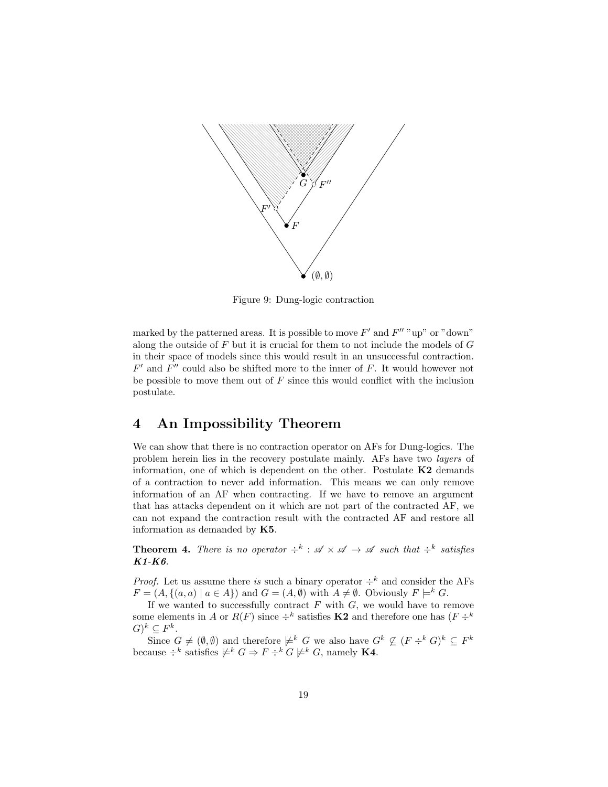<span id="page-20-1"></span>

Figure 9: Dung-logic contraction

marked by the patterned areas. It is possible to move  $F'$  and  $F''$  "up" or "down" along the outside of  $F$  but it is crucial for them to not include the models of  $G$ in their space of models since this would result in an unsuccessful contraction.  $F'$  and  $F''$  could also be shifted more to the inner of  $F$ . It would however not be possible to move them out of  $F$  since this would conflict with the inclusion postulate.

### <span id="page-20-0"></span>4 An Impossibility Theorem

We can show that there is no contraction operator on AFs for Dung-logics. The problem herein lies in the recovery postulate mainly. AFs have two layers of information, one of which is dependent on the other. Postulate  $K2$  demands of a contraction to never add information. This means we can only remove information of an AF when contracting. If we have to remove an argument that has attacks dependent on it which are not part of the contracted AF, we can not expand the contraction result with the contracted AF and restore all information as demanded by K5.

<span id="page-20-2"></span>**Theorem 4.** There is no operator  $\div^k$ :  $\mathscr{A} \times \mathscr{A} \to \mathscr{A}$  such that  $\div^k$  satisfies K1-K6.

*Proof.* Let us assume there is such a binary operator  $\div^k$  and consider the AFs  $F = (A, \{(a, a) \mid a \in A\})$  and  $G = (A, \emptyset)$  with  $A \neq \emptyset$ . Obviously  $F \models^k G$ .

If we wanted to successfully contract  $F$  with  $G$ , we would have to remove some elements in A or  $R(F)$  since  $\div^k$  satisfies **K2** and therefore one has  $(F \div^k)$  $(G)^k \subseteq F^k$ .

Since  $G \neq (\emptyset, \emptyset)$  and therefore  $\not\models^k G$  we also have  $G^k \not\subseteq (F \div^k G)^k \subseteq F^k$ because  $\div^k$  satisfies  $\not\models^k G \Rightarrow F \div^k G \not\models^k G$ , namely **K4**.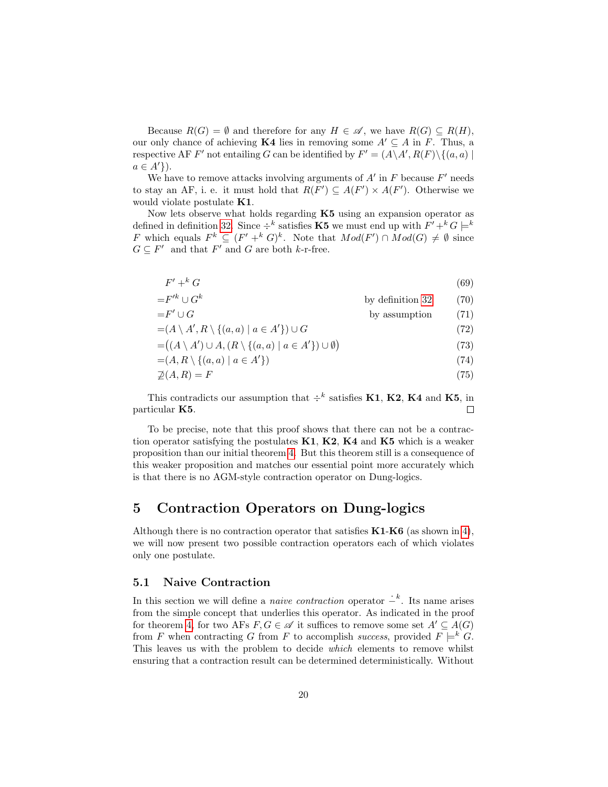Because  $R(G) = \emptyset$  and therefore for any  $H \in \mathscr{A}$ , we have  $R(G) \subseteq R(H)$ , our only chance of achieving K4 lies in removing some  $A' \subseteq A$  in F. Thus, a respective AF F' not entailing G can be identified by  $F' = (A \setminus A', R(F) \setminus \{(a, a) \mid$  $a \in A'\}$ ).

We have to remove attacks involving arguments of  $A'$  in  $F$  because  $F'$  needs to stay an AF, i. e. it must hold that  $R(F') \subseteq A(F') \times A(F')$ . Otherwise we would violate postulate **K1**.

Now lets observe what holds regarding  $K5$  using an expansion operator as defined in definition [32.](#page-15-1) Since  $\div^k$  satisfies **K5** we must end up with  $F' + ^k G \models^k$ F which equals  $F^k \subseteq (F' + k G)^k$ . Note that  $Mod(F') \cap Mod(G) \neq \emptyset$  since  $G \subseteq F'$  and that  $F'$  and  $G$  are both k-r-free.

$$
F' + ^k G \tag{69}
$$

$$
=F'^{k} \cup G^{k}
$$
 by definition 32 (70)  

$$
=F' \cup G
$$
 by assumption (71)

by assumption  $(71)$ 

$$
=(A \setminus A', R \setminus \{(a, a) \mid a \in A'\}) \cup G \tag{72}
$$

$$
= ((A \setminus A') \cup A, (R \setminus \{(a, a) \mid a \in A'\}) \cup \emptyset)
$$
\n
$$
(73)
$$

$$
=(A, R \setminus \{(a, a) \mid a \in A'\})
$$
\n<sup>(74)</sup>

$$
\mathcal{Q}(A,R) = F \tag{75}
$$

This contradicts our assumption that  $\div^k$  satisfies **K1**, **K2**, **K4** and **K5**, in particular K5.  $\Box$ 

To be precise, note that this proof shows that there can not be a contraction operator satisfying the postulates K1, K2, K4 and K5 which is a weaker proposition than our initial theorem [4.](#page-20-2) But this theorem still is a consequence of this weaker proposition and matches our essential point more accurately which is that there is no AGM-style contraction operator on Dung-logics.

### <span id="page-21-0"></span>5 Contraction Operators on Dung-logics

Although there is no contraction operator that satisfies  $K1-K6$  (as shown in [4\)](#page-20-0), we will now present two possible contraction operators each of which violates only one postulate.

#### <span id="page-21-1"></span>5.1 Naive Contraction

In this section we will define a *naive contraction* operator  $-\frac{k}{r}$ . Its name arises from the simple concept that underlies this operator. As indicated in the proof for theorem [4,](#page-20-2) for two AFs  $F, G \in \mathscr{A}$  it suffices to remove some set  $A' \subseteq A(G)$ from F when contracting G from F to accomplish success, provided  $F \models^k G$ . This leaves us with the problem to decide which elements to remove whilst ensuring that a contraction result can be determined deterministically. Without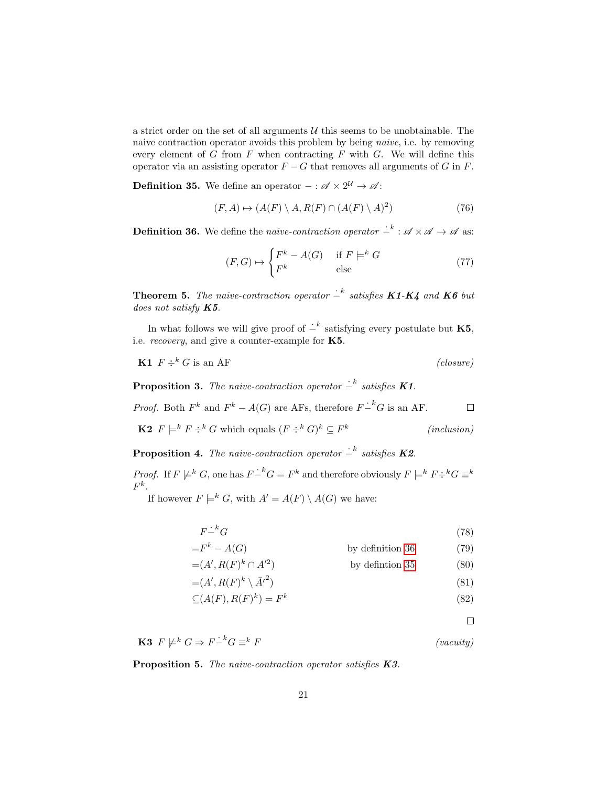a strict order on the set of all arguments  $U$  this seems to be unobtainable. The naive contraction operator avoids this problem by being naive, i.e. by removing every element of  $G$  from  $F$  when contracting  $F$  with  $G$ . We will define this operator via an assisting operator  $F - G$  that removes all arguments of G in F.

<span id="page-22-1"></span>**Definition 35.** We define an operator  $-$  :  $\mathscr{A} \times 2^{\mathcal{U}} \rightarrow \mathscr{A}$ :

$$
(F, A) \mapsto (A(F) \setminus A, R(F) \cap (A(F) \setminus A)^2)
$$
\n(76)

<span id="page-22-0"></span>**Definition 36.** We define the *naive-contraction operator*  $\cdot^{-k}$  :  $\mathscr{A} \times \mathscr{A} \to \mathscr{A}$  as:

$$
(F, G) \mapsto \begin{cases} F^k - A(G) & \text{if } F \models^k G \\ F^k & \text{else} \end{cases}
$$
(77)

<span id="page-22-2"></span>**Theorem 5.** The naive-contraction operator  $-\frac{k}{s}$  satisfies **K1-K4** and **K6** but does not satisfy  $K5$ .

In what follows we will give proof of  $\dot{P}^k$  satisfying every postulate but K5, i.e. *recovery*, and give a counter-example for  $K5$ .

$$
\mathbf{K1} \ \ F \div^k G \text{ is an AF} \tag{closure}
$$

**Proposition 3.** The naive-contraction operator  $\overline{\phantom{a}}^k$  satisfies **K1**.

*Proof.* Both  $F^k$  and  $F^k - A(G)$  are AFs, therefore  $F \dot{-}^k G$  is an AF.  $\Box$ 

**K2** 
$$
F \models^k F \div^k G
$$
 which equals  $(F \div^k G)^k \subseteq F^k$  (*inclusion*)

**Proposition 4.** The naive-contraction operator  $\dot{=}^k$  satisfies **K2**.

*Proof.* If  $F \not\models^k G$ , one has  $F - kG = F^k$  and therefore obviously  $F \models^k F \div^k G \equiv^k F^k$  $F^k.$ 

If however  $F \models^k G$ , with  $A' = A(F) \setminus A(G)$  we have:

$$
F - ^k G \tag{78}
$$

$$
=F^k - A(G)
$$
 by definition 36 (79)

$$
=(A', R(F)^k \cap A'^2) \qquad \text{by definition 35} \tag{80}
$$

$$
=(A', R(F)^k \setminus \bar{A'}^2) \tag{81}
$$

$$
\subseteq (A(F), R(F)^k) = F^k \tag{82}
$$

 $\Box$ 

**K3**  $F \not\models^k G \Rightarrow F - ^k G \equiv^k F$  (vacuity)

Proposition 5. The naive-contraction operator satisfies K3.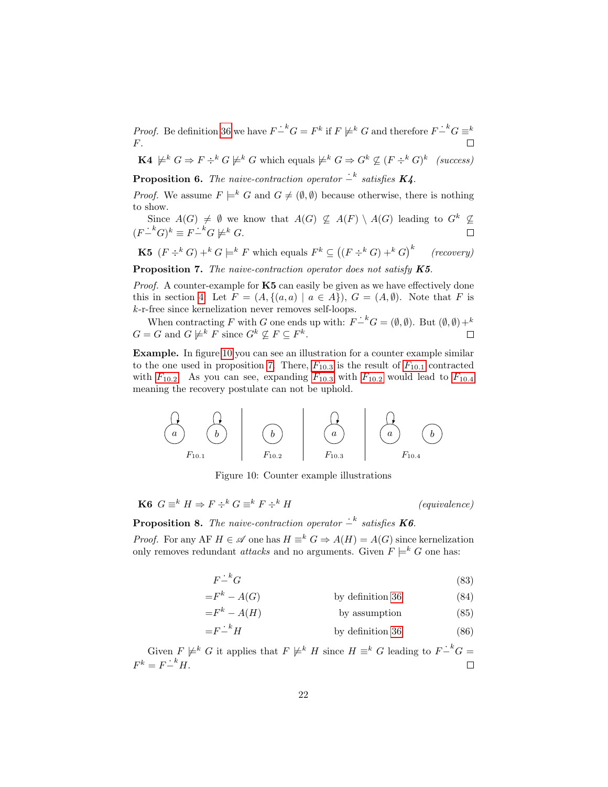*Proof.* Be definition [36](#page-22-0) we have  $F - {}^k G = F^k$  if  $F \not\models^k G$  and therefore  $F - {}^k G = {}^k$ F.

**K4**  $\not\models^k G \Rightarrow F \div^k G \not\models^k G$  which equals  $\not\models^k G \Rightarrow G^k \not\subseteq (F \div^k G)^k$  (success)

**Proposition 6.** The naive-contraction operator  $\overline{\phantom{a}}^k$  satisfies **K4**.

*Proof.* We assume  $F \models^k G$  and  $G \neq (\emptyset, \emptyset)$  because otherwise, there is nothing to show.

Since  $A(G) \neq \emptyset$  we know that  $A(G) \not\subseteq A(F) \setminus A(G)$  leading to  $G^k \not\subseteq$  $(F-^k G)^k \equiv F-^k G \not\models^k G.$  $\Box$ 

**K5** 
$$
(F \div^k G) + ^k G \models^k F
$$
 which equals  $F^k \subseteq ((F \div^k G) + ^k G)^k$  (recovery)

<span id="page-23-1"></span>Proposition 7. The naive-contraction operator does not satisfy K5.

Proof. A counter-example for **K5** can easily be given as we have effectively done this in section [4:](#page-20-0) Let  $F = (A, \{(a, a) \mid a \in A\})$ ,  $G = (A, \emptyset)$ . Note that F is k-r-free since kernelization never removes self-loops.

When contracting F with G one ends up with:  $F - K = (\emptyset, \emptyset)$ . But  $(\emptyset, \emptyset) + K$  $G = G$  and  $G \not\models^k F$  since  $G^k \not\subseteq F \subseteq F^k$ .  $\Box$ 

Example. In figure [10](#page-23-0) you can see an illustration for a counter example similar to the one used in proposition [7.](#page-23-1) There,  $F_{10.3}$  $F_{10.3}$  is the result of  $F_{10.1}$  contracted with  $F_{10.2}$  $F_{10.2}$ . As you can see, expanding  $F_{10.3}$  with  $F_{10.2}$  would lead to  $F_{10.4}$ meaning the recovery postulate can not be uphold.

<span id="page-23-0"></span>
$$
\begin{array}{|c|c|c|c|c|}\hline \begin{array}{c} & \begin{array}{c} \multicolumn{1}{c}{} & \multicolumn{1}{c}{} \\ \hline \multicolumn{1}{c}{} & \multicolumn{1}{c}{} \\ F_{10.1} & & F_{10.2} \end{array} & \begin{array}{c} \multicolumn{1}{c}{} & \multicolumn{1}{c}{} \\ \multicolumn{1}{c}{} & \multicolumn{1}{c}{} \\ F_{10.3} & & F_{10.4} \end{array} & \begin{array}{c} \multicolumn{1}{c}{} & \multicolumn{1}{c}{} \\ \multicolumn{1}{c}{} & \multicolumn{1}{c}{} \\ F_{10.4} & & F_{10.4} \end{array} & \begin{array}{c} \multicolumn{1}{c}{} \\ \multicolumn{1}{c}{} & \multicolumn{1}{c}{} \\ \multicolumn{1}{c}{} & \multicolumn{1}{c}{} \\ \multicolumn{1}{c}{} & \multicolumn{1}{c}{} \\ \multicolumn{1}{c}{} & \multicolumn{1}{c}{} \\ \multicolumn{1}{c}{} & \multicolumn{1}{c}{} \\ \multicolumn{1}{c}{} & \multicolumn{1}{c}{} \\ \hline \end{array} & \begin{array}{|c} \multicolumn{1}{c}{} & \multicolumn{1}{c}{} \\ \multicolumn{1}{c}{} & \multicolumn{1}{c}{} \\ \multicolumn{1}{c}{} & \multicolumn{1}{c}{} \\ \multicolumn{1}{c}{} & \multicolumn{1}{c}{} \\ \multicolumn{1}{c}{} & \multicolumn{1}{c}{} \\ \multicolumn{1}{c}{} & \multicolumn{1}{c}{} \\ \multicolumn{1}{c}{} & \multicolumn{1}{c}{} \\ \multicolumn{1}{c}{} & \multicolumn{1}{c}{} \\ \multicolumn{1}{c}{} & \multicolumn{1}{c}{} \\ \multicolumn{1}{c}{} & \multicolumn{1}{c}{} \\ \multicolumn{1}{c}{} & \multicolumn{1}{c}{} \\ \multicolumn{1}{c}{} & \multicolumn{1}{c}{} \\ \multicolumn{1}{c}{} & \multicolumn{1}{c}{} \\ \multicolumn{1}{c}{} & \multicolumn{1}{c}{} \\ \multicolumn{1}{c}{} & \multicolumn{1}{c}{} \\ \multicolumn{1}{c}{} & \multic
$$

Figure 10: Counter example illustrations

**K6**  $G \equiv^k H \Rightarrow F \div^k G \equiv^k F \div^k H$  (equivalence)

### **Proposition 8.** The naive-contraction operator  $\overline{\phantom{a}}^k$  satisfies **K6**.

*Proof.* For any AF  $H \in \mathcal{A}$  one has  $H \equiv^k G \Rightarrow A(H) = A(G)$  since kernelization only removes redundant *attacks* and no arguments. Given  $F \models^k G$  one has:

$$
F - ^k G \tag{83}
$$

$$
=F^k - A(G) \t\t by definition 36 \t(84)
$$

$$
=F^k - A(H)
$$
 by assumption (85)

$$
=F - ^k H
$$
 by definition 36 (86)

Given  $F \not\models^k G$  it applies that  $F \not\models^k H$  since  $H \equiv^k G$  leading to  $F - \overline{G} =$  $F^k = F^{\dot{-}k}H.$  $\Box$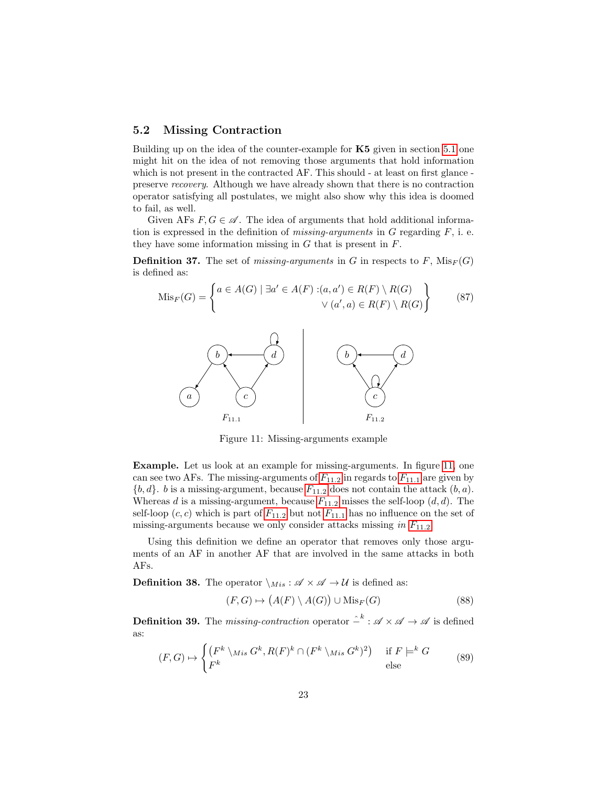#### <span id="page-24-0"></span>5.2 Missing Contraction

Building up on the idea of the counter-example for K5 given in section [5.1](#page-21-1) one might hit on the idea of not removing those arguments that hold information which is not present in the contracted AF. This should - at least on first glance preserve recovery. Although we have already shown that there is no contraction operator satisfying all postulates, we might also show why this idea is doomed to fail, as well.

Given AFs  $F, G \in \mathscr{A}$ . The idea of arguments that hold additional information is expressed in the definition of *missing-arguments* in  $G$  regarding  $F$ , i. e. they have some information missing in  $G$  that is present in  $F$ .

**Definition 37.** The set of *missing-arguments* in G in respects to F,  $\text{Mis}_F(G)$ is defined as:

$$
\text{Mis}_F(G) = \begin{cases} a \in A(G) \mid \exists a' \in A(F) : (a, a') \in R(F) \setminus R(G) \\ \vee (a', a) \in R(F) \setminus R(G) \end{cases} \tag{87}
$$

<span id="page-24-1"></span>

Figure 11: Missing-arguments example

Example. Let us look at an example for missing-arguments. In figure [11,](#page-24-1) one can see two A[F](#page-24-1)s. The missing-arguments of  $F_{11.2}$  in regards to  $F_{11.1}$  are given by  ${b, d}$ . b is a missing-argument, because  $F_{11.2}$  $F_{11.2}$  does not contain the attack  $(b, a)$ . Whereas d is a missing-argument, because  $F_{11.2}$  $F_{11.2}$  misses the self-loop  $(d, d)$ . The self-loop  $(c, c)$  which is part of  $F_{11.2}$  $F_{11.2}$  but not  $F_{11.1}$  has no influence on the set of missing-arguments because we only consider attacks missing in  $F_{11.2}$  $F_{11.2}$ .

Using this definition we define an operator that removes only those arguments of an AF in another AF that are involved in the same attacks in both AFs.

<span id="page-24-2"></span>**Definition 38.** The operator  $\setminus M_{is} : \mathscr{A} \times \mathscr{A} \to \mathcal{U}$  is defined as:

$$
(F, G) \mapsto (A(F) \setminus A(G)) \cup \text{Mis}_F(G) \tag{88}
$$

<span id="page-24-3"></span>**Definition 39.** The *missing-contraction* operator  $\hat{I}^k$  :  $\mathscr{A} \times \mathscr{A} \to \mathscr{A}$  is defined as:

$$
(F, G) \mapsto \begin{cases} (F^k \setminus M_{is} G^k, R(F)^k \cap (F^k \setminus M_{is} G^k)^2) & \text{if } F \models^k G \\ F^k & \text{else} \end{cases}
$$
(89)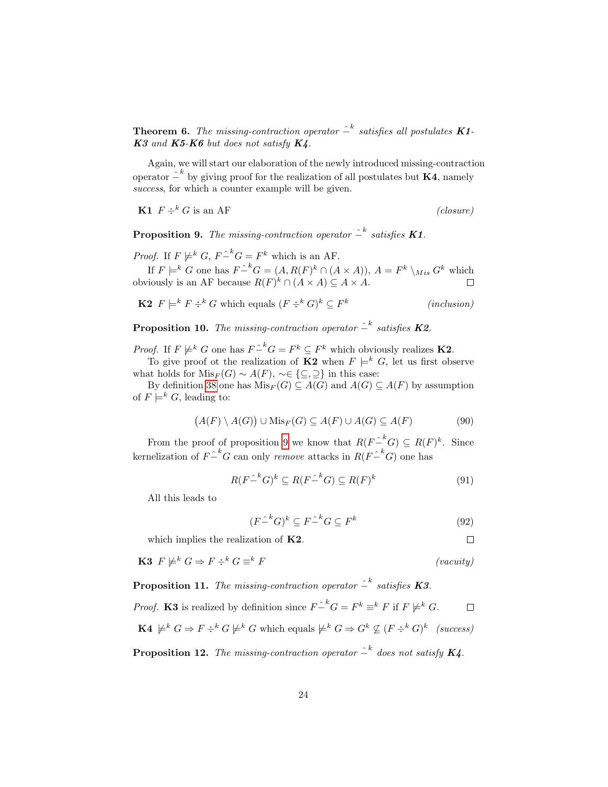<span id="page-25-1"></span>**Theorem 6.** The missing-contraction operator  $\hat{--}^k$  satisfies all postulates **K1**- $K3$  and  $K5-K6$  but does not satisfy  $K4$ .

Again, we will start our elaboration of the newly introduced missing-contraction operator  $\hat{I}^k$  by giving proof for the realization of all postulates but **K4**, namely success, for which a counter example will be given.

**K1**  $F \div^k G$  is an AF (closure)

 $\Box$ 

<span id="page-25-0"></span>**Proposition 9.** The missing-contraction operator  $\hat{P}^k$  satisfies **K1**.

*Proof.* If  $F \not\models^k G$ ,  $F \hat{f}^k G = F^k$  which is an AF.

If  $F \models^k G$  one has  $F \hat{=}^k G = (A, R(F)^k \cap (A \times A)), A = F^k \setminus M_{is} G^k$  which obviously is an AF because  $R(F)^k \cap (A \times A) \subseteq A \times A$ .

**K2** 
$$
F \models^k F \div^k G
$$
 which equals  $(F \div^k G)^k \subseteq F^k$  (*inclusion*)

**Proposition 10.** The missing-contraction operator  $\hat{P}^k$  satisfies **K2**.

*Proof.* If  $F \not\models^k G$  one has  $F \hat{=}^k G = F^k \subseteq F^k$  which obviously realizes **K2**.

To give proof ot the realization of **K2** when  $F \models^k G$ , let us first observe what holds for  $Mis_F(G) \sim A(F)$ ,  $\sim \in \{\subseteq, \supseteq\}$  in this case:

By definition [38](#page-24-2) one has  $Mis_F(G) \subseteq A(G)$  and  $A(G) \subseteq A(F)$  by assumption of  $F \models^k G$ , leading to:

$$
(A(F) \setminus A(G)) \cup \text{Mis}_F(G) \subseteq A(F) \cup A(G) \subseteq A(F)
$$
 (90)

From the proof of proposition [9](#page-25-0) we know that  $R(F-^k G) \subseteq R(F)^k$ . Since kernelization of  $F-^k G$  can only *remove* attacks in  $R(F-^k G)$  one has

$$
R(F\hat{C}^k G)^k \subseteq R(F\hat{C}^k G) \subseteq R(F)^k \tag{91}
$$

All this leads to

$$
(F \hat{I}^k G)^k \subseteq F \hat{I}^k G \subseteq F^k \tag{92}
$$

which implies the realization of **K2**.

$$
\mathbf{K3} \ \ F \not\models^k G \Rightarrow F \div^k G \equiv^k F \tag{vacuity}
$$

**Proposition 11.** The missing-contraction operator  $\hat{=}^k$  satisfies **K**3.

*Proof.* K3 is realized by definition since  $F \hat{=}^k G = F^k \equiv^k F$  if  $F \not\models^k G$ .  $\Box$  $\mathbf{K4} \not\models^k G \Rightarrow F \div^k G \not\models^k G \text{ which equals } \not\models^k G \Rightarrow G^k \not\subseteq (F \div^k G)^k \quad (success)$ **Proposition 12.** The missing-contraction operator  $\hat{P}^k$  does not satisfy **K4**.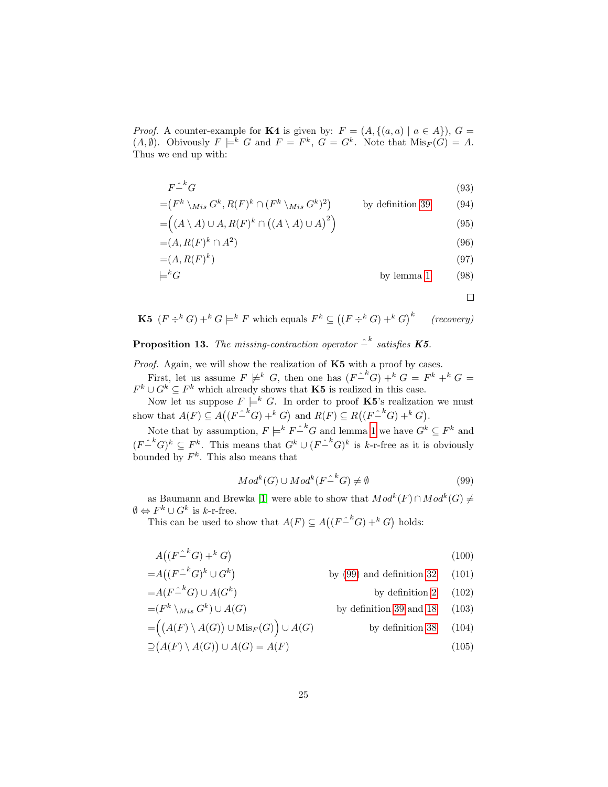*Proof.* A counter-example for **K4** is given by:  $F = (A, \{(a, a) | a \in A\})$ ,  $G =$  $(A, \emptyset)$ . Obivously  $F \models^k G$  and  $F = F^k$ ,  $G = G^k$ . Note that  $\text{Mis}_F(G) = A$ . Thus we end up with:

$$
F \hat{=}^k G \tag{93}
$$

$$
= (F^k \setminus Mis \ G^k, R(F)^k \cap (F^k \setminus Mis \ G^k)^2) \qquad \text{by definition 39} \tag{94}
$$

$$
= ((A \setminus A) \cup A, R(F)^{k} \cap ((A \setminus A) \cup A)^{2})
$$
\n(95)

$$
=(A, R(F)^k \cap A^2) \tag{96}
$$

$$
=(A, R(F)^{k})
$$
\n
$$
\models^{k} G
$$
\nby lemma 1

\n(97)

$$
kG \qquad \qquad \text{by lemma 1} \qquad (98)
$$

 $\Box$ 

**K5**  $(F \div^k G) +^k G \models^k F$  which equals  $F^k \subseteq ((F \div^k G) +^k G)^k$  (recovery)

**Proposition 13.** The missing-contraction operator  $\hat{=}^k$  satisfies **K5**.

*Proof.* Again, we will show the realization of  $K5$  with a proof by cases. First, let us assume  $F \not\models^k G$ , then one has  $(F-^k G) +^k G = F^k +^k G =$  $F^k \cup G^k \subseteq F^k$  which already shows that **K5** is realized in this case.

Now let us suppose  $F \models^k G$ . In order to proof **K5**'s realization we must show that  $A(F) \subseteq A((F \hat{-}^k G) + k G)$  and  $R(F) \subseteq R((F \hat{-}^k G) + k G)$ .

Note that by assumption,  $F \models^k F \hat{=}^k G$  and lemma [1](#page-10-0) we have  $G^k \subseteq F^k$  and  $(F-^k G)^k \subseteq F^k$ . This means that  $G^k \cup (F-^k G)^k$  is k-r-free as it is obviously bounded by  $F^k$ . This also means that

<span id="page-26-0"></span>
$$
Modk(G) \cup Modk(F \hat{ } ^{k}G) \neq \emptyset
$$
\n(99)

as Baumann and Brewka [\[1\]](#page-30-0) were able to show that  $Mod<sup>k</sup>(F) \cap Mod<sup>k</sup>(G) \neq$  $\emptyset \Leftrightarrow F^k \cup G^k$  is k-r-free.

This can be used to show that  $A(F) \subseteq A((F-^kG) + ^kG)$  holds:

$$
A\left(\left(F^{\hat{}}^k G\right) + ^k G\right) \tag{100}
$$

 $=A((F-^kG)^k\cup G^k)$ by  $(99)$  and definition [32](#page-15-1)  $(101)$ by definition  $2$  (102)

$$
=A(F^{-k}G) \cup A(G^k) \qquad \text{by definition 2} \qquad (102)
$$
  

$$
-(F^k) \qquad G^k) \cup A(G) \qquad \text{by definition 20 and 18} \qquad (102)
$$

$$
=(F^k \setminus M_{is} G^k) \cup A(G)
$$
 by definition 39 and 18 (103)

$$
= ((A(F) \setminus A(G)) \cup \text{Mis}_F(G)) \cup A(G)
$$
 by definition 38 (104)  

$$
\supseteq (A(F) \setminus A(G)) \cup A(G) = A(F)
$$
 (105)

$$
A(G) \cup A(G) = A(F) \tag{105}
$$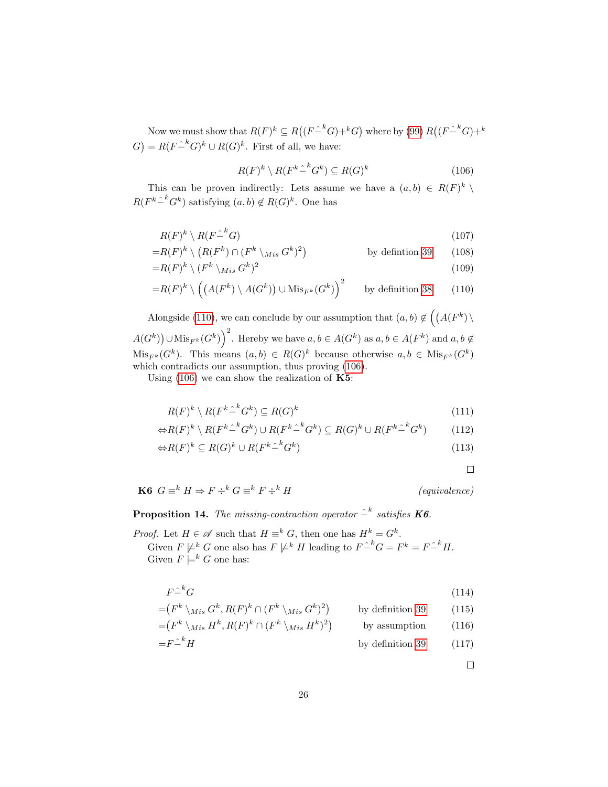Now we must show that  $R(F)^k \subseteq R((F \hat{-}^k G) + ^k G)$  where by [\(99\)](#page-26-0)  $R((F \hat{-}^k G) + ^k G)$  $G$  =  $R(F \hat{=}^k G)^k \cup R(G)^k$ . First of all, we have:

<span id="page-27-1"></span>
$$
R(F)^{k} \setminus R(F^{k} \hat{ }^{\ k} G^{k}) \subseteq R(G)^{k} \tag{106}
$$

This can be proven indirectly: Lets assume we have a  $(a, b) \in R(F)^k \setminus$  $R(F^k\hat{=}^k G^k)$  satisfying  $(a, b) \notin R(G)^k$ . One has

$$
R(F)^k \setminus R(F\hat{F}^k G) \tag{107}
$$

$$
=R(F)^{k} \setminus (R(F^{k}) \cap (F^{k} \setminus M_{is} G^{k})^{2}) \qquad \text{by definition 39} \qquad (108)
$$

$$
=R(F)^k \setminus (F^k \setminus Mis \ G^k)^2
$$
\n<sup>(109)</sup>

$$
=R(F)^{k} \setminus \left(\left(A(F^{k}) \setminus A(G^{k})\right) \cup \mathrm{Mis}_{F^{k}}(G^{k})\right)^{2} \qquad \text{by definition 38} \tag{110}
$$

Alongside [\(110\)](#page-27-0), we can conclude by our assumption that  $(a, b) \notin (A(F^k) \setminus$  $A(G^k)$   $\cup$  Mis<sub>F<sup>k</sub></sup> $(G^k)$ <sup>2</sup>. Hereby we have  $a, b \in A(G^k)$  as  $a, b \in A(F^k)$  and  $a, b \notin$ </sub>  $Mis_{F^k}(G^k)$ . This means  $(a, b) \in R(G)^k$  because otherwise  $a, b \in Mis_{F^k}(G^k)$ which contradicts our assumption, thus proving [\(106\)](#page-27-1).

Using  $(106)$  we can show the realization of  $\text{K5}:$ 

$$
R(F)^k \setminus R(F^k \hat{\mathcal{L}}^k G^k) \subseteq R(G)^k \tag{111}
$$

$$
\Leftrightarrow R(F)^{k} \setminus R(F^{k} \hat{-}^{k} G^{k}) \cup R(F^{k} \hat{-}^{k} G^{k}) \subseteq R(G)^{k} \cup R(F^{k} \hat{-}^{k} G^{k}) \tag{112}
$$

$$
\Leftrightarrow R(F)^k \subseteq R(G)^k \cup R(F^k \hat{=}^k G^k) \tag{113}
$$

<span id="page-27-0"></span> $\Box$ 

**K6**  $G \equiv^k H \Rightarrow F \div^k G \equiv^k F \div^k H$  (equivalence)

**Proposition 14.** The missing-contraction operator  $\hat{=}^k$  satisfies **K6**.

*Proof.* Let  $H \in \mathcal{A}$  such that  $H \equiv^k G$ , then one has  $H^k = G^k$ . Given  $F \not\models^k G$  one also has  $F \not\models^k H$  leading to  $F \hat{=}^k G = F^k = F \hat{=}^k H$ . Given  $F \models^k G$  one has:

$$
F \hat{--}^k G \tag{114}
$$

$$
= (F^k \setminus M_{is} G^k, R(F)^k \cap (F^k \setminus M_{is} G^k)^2) \qquad \text{by definition 39} \qquad (115)
$$

$$
= (F^k \setminus M_{is} H^k, R(F)^k \cap (F^k \setminus M_{is} H^k)^2) \qquad \text{by assumption} \qquad (116)
$$

$$
=F^{\hat{}}^{\hat{}}H
$$
 by definition 39 (117)

 $\Box$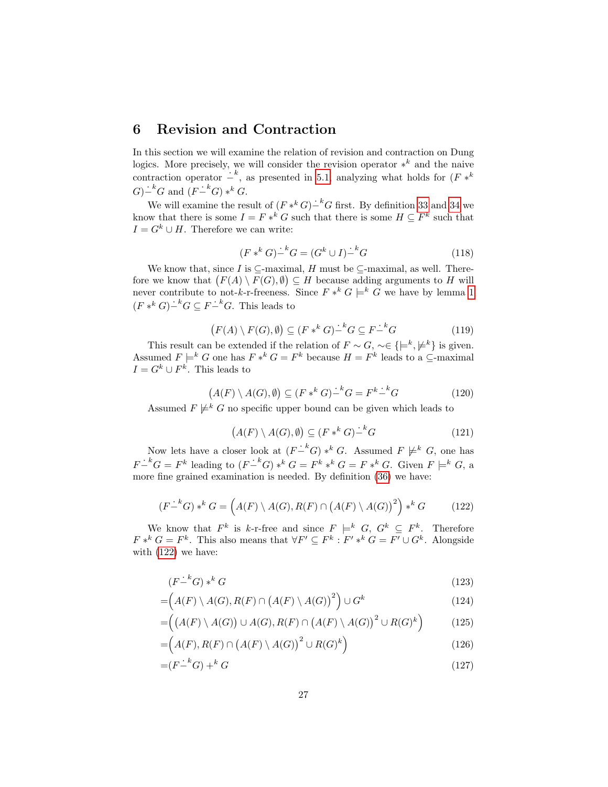### <span id="page-28-0"></span>6 Revision and Contraction

In this section we will examine the relation of revision and contraction on Dung logics. More precisely, we will consider the revision operator  $*^k$  and the naive contraction operator  $\dot{-}^k$ , as presented in [5.1,](#page-21-1) analyzing what holds for  $(F *^k)$  $G)$ <sup> $-k$ </sup> $G$  and  $(F-$ <sup>k</sup> $G)$   $*$ <sup>k</sup> $G$ .

We will examine the result of  $(F *^k G) - ^k G$  first. By definition [33](#page-15-2) and [34](#page-16-2) we know that there is some  $I = F *^k G$  such that there is some  $H \subseteq F^k$  such that  $I = G^k \cup H$ . Therefore we can write:

$$
(F *^k G)^{\dot{}}^k G = (G^k \cup I)^{\dot{}}^k G \tag{118}
$$

We know that, since I is  $\subseteq$ -maximal, H must be  $\subseteq$ -maximal, as well. Therefore we know that  $(F(A) \setminus F(G), \emptyset) \subseteq H$  because adding arguments to H will never contribute to not-k-r-freeness. Since  $F *^k G \models^k G$  we have by lemma [1](#page-10-0)  $(F *^k G) - ^k G \subseteq F - ^k G$ . This leads to

$$
(F(A) \setminus F(G), \emptyset) \subseteq (F *^k G)^{\perp k} G \subseteq F^{\perp k} G \tag{119}
$$

This result can be extended if the relation of  $F \sim G$ , ~∈ { $\models^k, \nvDash^k$ } is given. Assumed  $F \models^k G$  one has  $F *^k G = F^k$  because  $H = F^k$  leads to a  $\subseteq$ -maximal  $I = G^k \cup F^k$ . This leads to

$$
(A(F) \setminus A(G), \emptyset) \subseteq (F *^{k} G)^{\perp k} G = F^{k} \perp^{k} G \tag{120}
$$

Assumed  $F \not\models^k G$  no specific upper bound can be given which leads to

$$
(A(F) \setminus A(G), \emptyset) \subseteq (F *^{k} G)^{\perp k} G \tag{121}
$$

Now lets have a closer look at  $(F-^k G) *^k G$ . Assumed  $F \not\models^k G$ , one has  $F-^kG = F^k$  leading to  $(F-^kG) *^kG = F^k *^kG = F*^kG$ . Given  $F \models^k G$ , a more fine grained examination is needed. By definition [\(36\)](#page-22-0) we have:

<span id="page-28-1"></span>
$$
(F - ^k G) * ^k G = \left(A(F) \setminus A(G), R(F) \cap (A(F) \setminus A(G))^2\right) * ^k G \tag{122}
$$

We know that  $F^k$  is k-r-free and since  $F \models^k G, G^k \subseteq F^k$ . Therefore  $F *^k G = F^k$ . This also means that  $\forall F' \subseteq F^k : F' *^k G = F' \cup G^k$ . Alongside with [\(122\)](#page-28-1) we have:

$$
(F - ^k G) * ^k G \tag{123}
$$

$$
= (A(F) \setminus A(G), R(F) \cap (A(F) \setminus A(G))^2) \cup G^k
$$
\n(124)

$$
= \left( \left( A(F) \setminus A(G) \right) \cup A(G), R(F) \cap \left( A(F) \setminus A(G) \right)^2 \cup R(G)^k \right) \tag{125}
$$

$$
= (A(F), R(F) \cap (A(F) \setminus A(G))^2 \cup R(G)^k)
$$
\n(126)

$$
=(F\dot{F}^k G) + ^k G \tag{127}
$$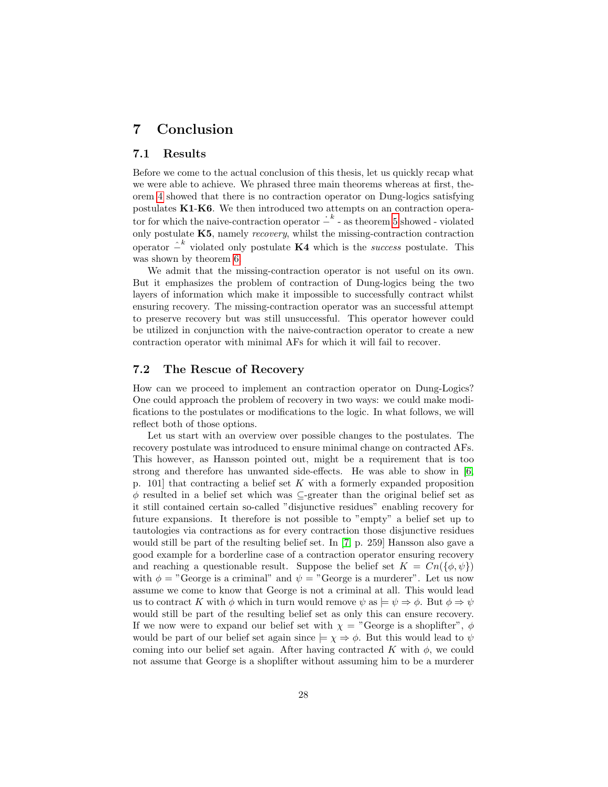### <span id="page-29-0"></span>7 Conclusion

#### <span id="page-29-1"></span>7.1 Results

Before we come to the actual conclusion of this thesis, let us quickly recap what we were able to achieve. We phrased three main theorems whereas at first, theorem [4](#page-20-2) showed that there is no contraction operator on Dung-logics satisfying postulates K1-K6. We then introduced two attempts on an contraction operator for which the naive-contraction operator  $\dot{I}^k$  - as theorem [5](#page-22-2) showed - violated only postulate  $K5$ , namely *recovery*, whilst the missing-contraction contraction operator  $\hat{\textit{--}}^k$  violated only postulate K4 which is the *success* postulate. This was shown by theorem [6.](#page-25-1)

We admit that the missing-contraction operator is not useful on its own. But it emphasizes the problem of contraction of Dung-logics being the two layers of information which make it impossible to successfully contract whilst ensuring recovery. The missing-contraction operator was an successful attempt to preserve recovery but was still unsuccessful. This operator however could be utilized in conjunction with the naive-contraction operator to create a new contraction operator with minimal AFs for which it will fail to recover.

#### <span id="page-29-2"></span>7.2 The Rescue of Recovery

How can we proceed to implement an contraction operator on Dung-Logics? One could approach the problem of recovery in two ways: we could make modifications to the postulates or modifications to the logic. In what follows, we will reflect both of those options.

Let us start with an overview over possible changes to the postulates. The recovery postulate was introduced to ensure minimal change on contracted AFs. This however, as Hansson pointed out, might be a requirement that is too strong and therefore has unwanted side-effects. He was able to show in [\[6,](#page-31-4) p. 101 that contracting a belief set  $K$  with a formerly expanded proposition  $\phi$  resulted in a belief set which was  $\subseteq$ -greater than the original belief set as it still contained certain so-called "disjunctive residues" enabling recovery for future expansions. It therefore is not possible to "empty" a belief set up to tautologies via contractions as for every contraction those disjunctive residues would still be part of the resulting belief set. In [\[7,](#page-31-5) p. 259] Hansson also gave a good example for a borderline case of a contraction operator ensuring recovery and reaching a questionable result. Suppose the belief set  $K = Cn(\lbrace \phi, \psi \rbrace)$ with  $\phi =$  "George is a criminal" and  $\psi =$  "George is a murderer". Let us now assume we come to know that George is not a criminal at all. This would lead us to contract K with  $\phi$  which in turn would remove  $\psi$  as  $\models \psi \Rightarrow \phi$ . But  $\phi \Rightarrow \psi$ would still be part of the resulting belief set as only this can ensure recovery. If we now were to expand our belief set with  $\chi =$  "George is a shoplifter",  $\phi$ would be part of our belief set again since  $\models \chi \Rightarrow \phi$ . But this would lead to  $\psi$ coming into our belief set again. After having contracted K with  $\phi$ , we could not assume that George is a shoplifter without assuming him to be a murderer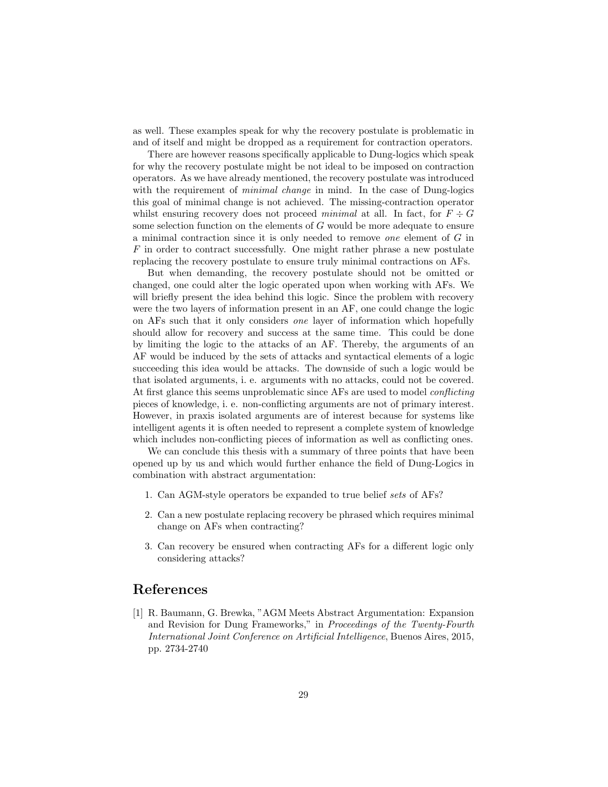as well. These examples speak for why the recovery postulate is problematic in and of itself and might be dropped as a requirement for contraction operators.

There are however reasons specifically applicable to Dung-logics which speak for why the recovery postulate might be not ideal to be imposed on contraction operators. As we have already mentioned, the recovery postulate was introduced with the requirement of *minimal change* in mind. In the case of Dung-logics this goal of minimal change is not achieved. The missing-contraction operator whilst ensuring recovery does not proceed minimal at all. In fact, for  $F \div G$ some selection function on the elements of G would be more adequate to ensure a minimal contraction since it is only needed to remove one element of G in  $F$  in order to contract successfully. One might rather phrase a new postulate replacing the recovery postulate to ensure truly minimal contractions on AFs.

But when demanding, the recovery postulate should not be omitted or changed, one could alter the logic operated upon when working with AFs. We will briefly present the idea behind this logic. Since the problem with recovery were the two layers of information present in an AF, one could change the logic on AFs such that it only considers one layer of information which hopefully should allow for recovery and success at the same time. This could be done by limiting the logic to the attacks of an AF. Thereby, the arguments of an AF would be induced by the sets of attacks and syntactical elements of a logic succeeding this idea would be attacks. The downside of such a logic would be that isolated arguments, i. e. arguments with no attacks, could not be covered. At first glance this seems unproblematic since AFs are used to model *conflicting* pieces of knowledge, i. e. non-conflicting arguments are not of primary interest. However, in praxis isolated arguments are of interest because for systems like intelligent agents it is often needed to represent a complete system of knowledge which includes non-conflicting pieces of information as well as conflicting ones.

We can conclude this thesis with a summary of three points that have been opened up by us and which would further enhance the field of Dung-Logics in combination with abstract argumentation:

- 1. Can AGM-style operators be expanded to true belief sets of AFs?
- 2. Can a new postulate replacing recovery be phrased which requires minimal change on AFs when contracting?
- 3. Can recovery be ensured when contracting AFs for a different logic only considering attacks?

### References

<span id="page-30-0"></span>[1] R. Baumann, G. Brewka, "AGM Meets Abstract Argumentation: Expansion and Revision for Dung Frameworks," in Proceedings of the Twenty-Fourth International Joint Conference on Artificial Intelligence, Buenos Aires, 2015, pp. 2734-2740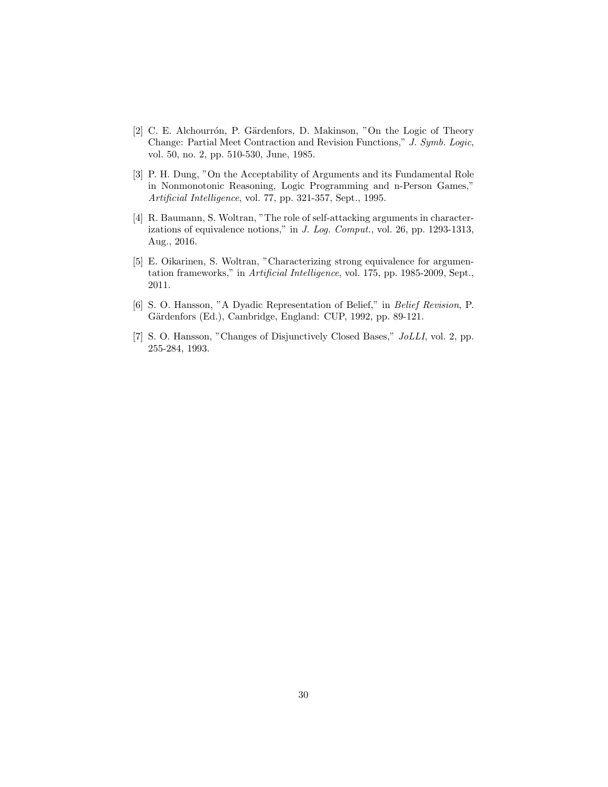- <span id="page-31-0"></span>[2] C. E. Alchourrón, P. Gärdenfors, D. Makinson, "On the Logic of Theory Change: Partial Meet Contraction and Revision Functions," J. Symb. Logic, vol. 50, no. 2, pp. 510-530, June, 1985.
- <span id="page-31-1"></span>[3] P. H. Dung, "On the Acceptability of Arguments and its Fundamental Role in Nonmonotonic Reasoning, Logic Programming and n-Person Games," Artificial Intelligence, vol. 77, pp. 321-357, Sept., 1995.
- <span id="page-31-2"></span>[4] R. Baumann, S. Woltran, "The role of self-attacking arguments in characterizations of equivalence notions," in J. Log. Comput., vol. 26, pp. 1293-1313, Aug., 2016.
- <span id="page-31-3"></span>[5] E. Oikarinen, S. Woltran, "Characterizing strong equivalence for argumentation frameworks," in Artificial Intelligence, vol. 175, pp. 1985-2009, Sept., 2011.
- <span id="page-31-4"></span>[6] S. O. Hansson, "A Dyadic Representation of Belief," in Belief Revision, P. Gärdenfors (Ed.), Cambridge, England: CUP, 1992, pp. 89-121.
- <span id="page-31-5"></span>[7] S. O. Hansson, "Changes of Disjunctively Closed Bases," JoLLI, vol. 2, pp. 255-284, 1993.